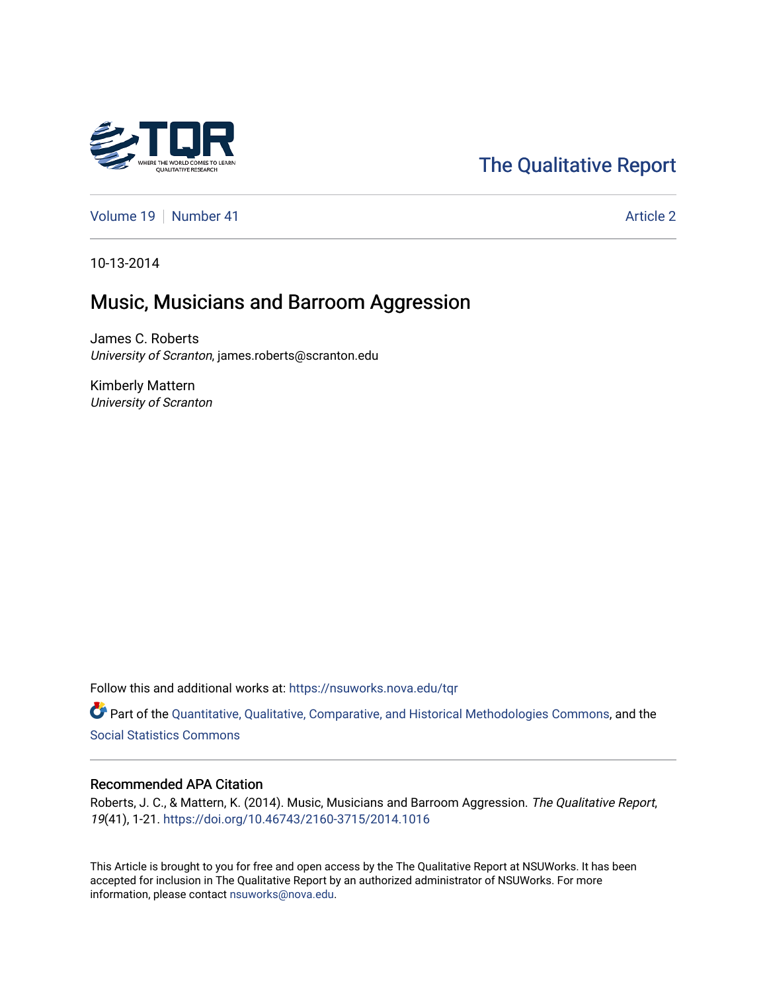# [The Qualitative Report](https://nsuworks.nova.edu/tqr)

[Volume 19](https://nsuworks.nova.edu/tqr/vol19) [Number 41](https://nsuworks.nova.edu/tqr/vol19/iss41) Article 2

10-13-2014

## Music, Musicians and Barroom Aggression

James C. Roberts University of Scranton, james.roberts@scranton.edu

Kimberly Mattern University of Scranton

Follow this and additional works at: [https://nsuworks.nova.edu/tqr](https://nsuworks.nova.edu/tqr?utm_source=nsuworks.nova.edu%2Ftqr%2Fvol19%2Fiss41%2F2&utm_medium=PDF&utm_campaign=PDFCoverPages) 

Part of the [Quantitative, Qualitative, Comparative, and Historical Methodologies Commons,](http://network.bepress.com/hgg/discipline/423?utm_source=nsuworks.nova.edu%2Ftqr%2Fvol19%2Fiss41%2F2&utm_medium=PDF&utm_campaign=PDFCoverPages) and the [Social Statistics Commons](http://network.bepress.com/hgg/discipline/1275?utm_source=nsuworks.nova.edu%2Ftqr%2Fvol19%2Fiss41%2F2&utm_medium=PDF&utm_campaign=PDFCoverPages) 

#### Recommended APA Citation

Roberts, J. C., & Mattern, K. (2014). Music, Musicians and Barroom Aggression. The Qualitative Report, 19(41), 1-21. <https://doi.org/10.46743/2160-3715/2014.1016>

This Article is brought to you for free and open access by the The Qualitative Report at NSUWorks. It has been accepted for inclusion in The Qualitative Report by an authorized administrator of NSUWorks. For more information, please contact [nsuworks@nova.edu.](mailto:nsuworks@nova.edu)

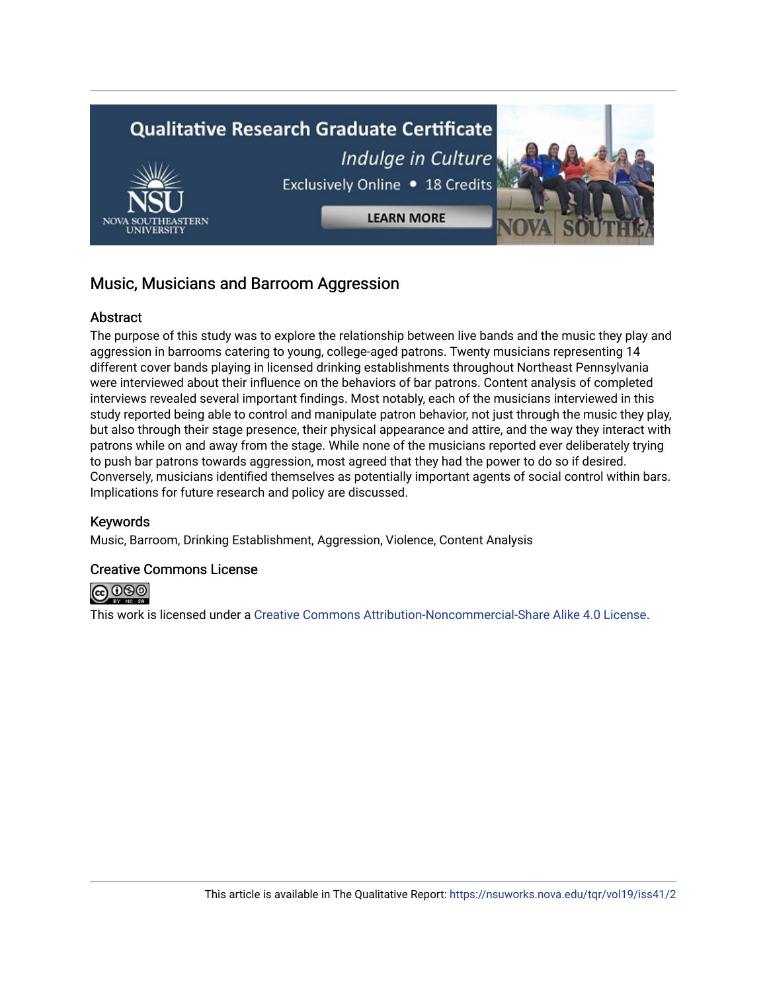

### Music, Musicians and Barroom Aggression

#### **Abstract**

The purpose of this study was to explore the relationship between live bands and the music they play and aggression in barrooms catering to young, college-aged patrons. Twenty musicians representing 14 different cover bands playing in licensed drinking establishments throughout Northeast Pennsylvania were interviewed about their influence on the behaviors of bar patrons. Content analysis of completed interviews revealed several important findings. Most notably, each of the musicians interviewed in this study reported being able to control and manipulate patron behavior, not just through the music they play, but also through their stage presence, their physical appearance and attire, and the way they interact with patrons while on and away from the stage. While none of the musicians reported ever deliberately trying to push bar patrons towards aggression, most agreed that they had the power to do so if desired. Conversely, musicians identified themselves as potentially important agents of social control within bars. Implications for future research and policy are discussed.

#### Keywords

Music, Barroom, Drinking Establishment, Aggression, Violence, Content Analysis

#### Creative Commons License



This work is licensed under a [Creative Commons Attribution-Noncommercial-Share Alike 4.0 License](https://creativecommons.org/licenses/by-nc-sa/4.0/).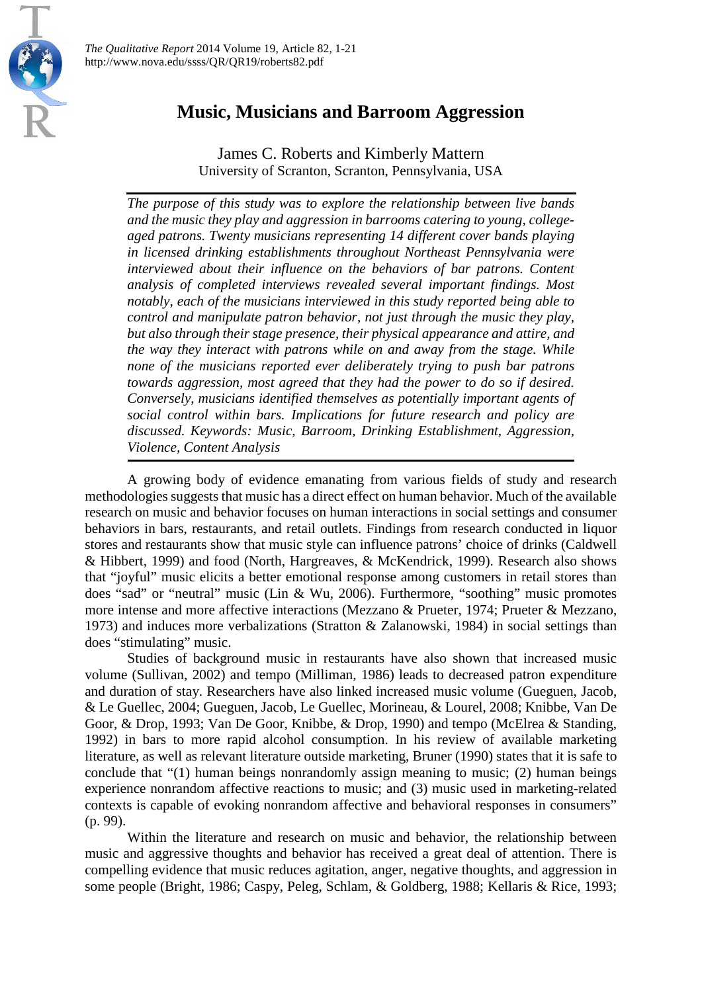

### **Music, Musicians and Barroom Aggression**

James C. Roberts and Kimberly Mattern University of Scranton, Scranton, Pennsylvania, USA

*The purpose of this study was to explore the relationship between live bands and the music they play and aggression in barrooms catering to young, collegeaged patrons. Twenty musicians representing 14 different cover bands playing in licensed drinking establishments throughout Northeast Pennsylvania were interviewed about their influence on the behaviors of bar patrons. Content analysis of completed interviews revealed several important findings. Most notably, each of the musicians interviewed in this study reported being able to control and manipulate patron behavior, not just through the music they play, but also through their stage presence, their physical appearance and attire, and the way they interact with patrons while on and away from the stage. While none of the musicians reported ever deliberately trying to push bar patrons towards aggression, most agreed that they had the power to do so if desired. Conversely, musicians identified themselves as potentially important agents of social control within bars. Implications for future research and policy are discussed. Keywords: Music, Barroom, Drinking Establishment, Aggression, Violence, Content Analysis*

A growing body of evidence emanating from various fields of study and research methodologies suggests that music has a direct effect on human behavior. Much of the available research on music and behavior focuses on human interactions in social settings and consumer behaviors in bars, restaurants, and retail outlets. Findings from research conducted in liquor stores and restaurants show that music style can influence patrons' choice of drinks (Caldwell & Hibbert, 1999) and food (North, Hargreaves, & McKendrick, 1999). Research also shows that "joyful" music elicits a better emotional response among customers in retail stores than does "sad" or "neutral" music (Lin & Wu, 2006). Furthermore, "soothing" music promotes more intense and more affective interactions (Mezzano & Prueter, 1974; Prueter & Mezzano, 1973) and induces more verbalizations (Stratton & Zalanowski, 1984) in social settings than does "stimulating" music.

Studies of background music in restaurants have also shown that increased music volume (Sullivan, 2002) and tempo (Milliman, 1986) leads to decreased patron expenditure and duration of stay. Researchers have also linked increased music volume (Gueguen, Jacob, & Le Guellec, 2004; Gueguen, Jacob, Le Guellec, Morineau, & Lourel, 2008; Knibbe, Van De Goor, & Drop, 1993; Van De Goor, Knibbe, & Drop, 1990) and tempo (McElrea & Standing, 1992) in bars to more rapid alcohol consumption. In his review of available marketing literature, as well as relevant literature outside marketing, Bruner (1990) states that it is safe to conclude that "(1) human beings nonrandomly assign meaning to music; (2) human beings experience nonrandom affective reactions to music; and (3) music used in marketing-related contexts is capable of evoking nonrandom affective and behavioral responses in consumers" (p. 99).

Within the literature and research on music and behavior, the relationship between music and aggressive thoughts and behavior has received a great deal of attention. There is compelling evidence that music reduces agitation, anger, negative thoughts, and aggression in some people (Bright, 1986; Caspy, Peleg, Schlam, & Goldberg, 1988; Kellaris & Rice, 1993;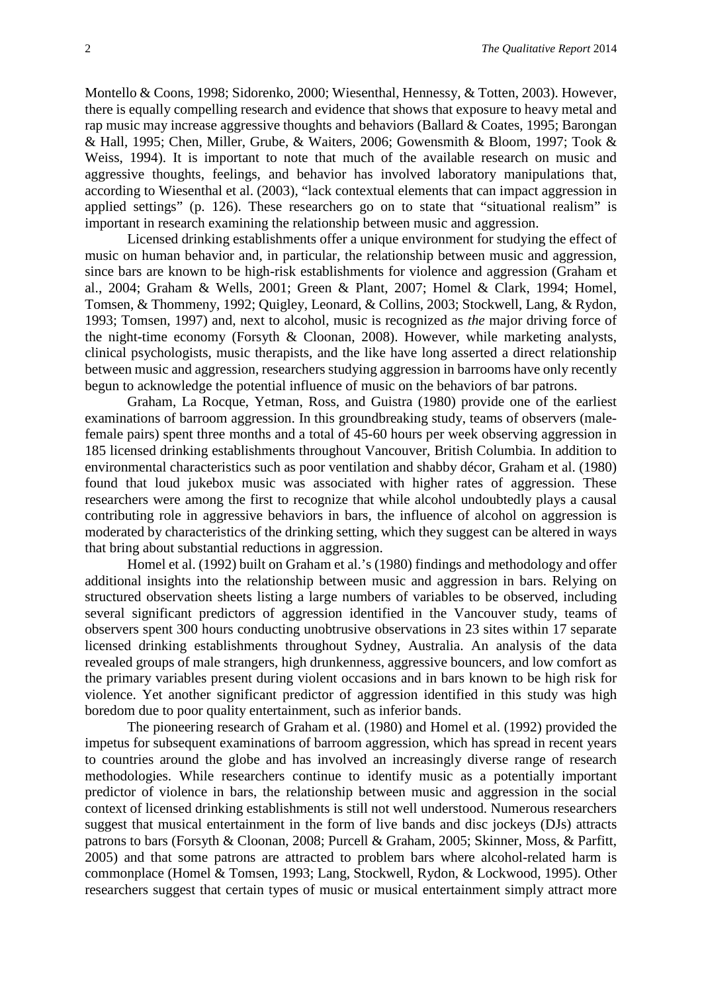Montello & Coons, 1998; Sidorenko, 2000; Wiesenthal, Hennessy, & Totten, 2003). However, there is equally compelling research and evidence that shows that exposure to heavy metal and rap music may increase aggressive thoughts and behaviors (Ballard & Coates, 1995; Barongan & Hall, 1995; Chen, Miller, Grube, & Waiters, 2006; Gowensmith & Bloom, 1997; Took & Weiss, 1994). It is important to note that much of the available research on music and aggressive thoughts, feelings, and behavior has involved laboratory manipulations that, according to Wiesenthal et al. (2003), "lack contextual elements that can impact aggression in applied settings" (p. 126). These researchers go on to state that "situational realism" is important in research examining the relationship between music and aggression.

Licensed drinking establishments offer a unique environment for studying the effect of music on human behavior and, in particular, the relationship between music and aggression, since bars are known to be high-risk establishments for violence and aggression (Graham et al., 2004; Graham & Wells, 2001; Green & Plant, 2007; Homel & Clark, 1994; Homel, Tomsen, & Thommeny, 1992; Quigley, Leonard, & Collins, 2003; Stockwell, Lang, & Rydon, 1993; Tomsen, 1997) and, next to alcohol, music is recognized as *the* major driving force of the night-time economy (Forsyth & Cloonan, 2008). However, while marketing analysts, clinical psychologists, music therapists, and the like have long asserted a direct relationship between music and aggression, researchers studying aggression in barrooms have only recently begun to acknowledge the potential influence of music on the behaviors of bar patrons.

Graham, La Rocque, Yetman, Ross, and Guistra (1980) provide one of the earliest examinations of barroom aggression. In this groundbreaking study, teams of observers (malefemale pairs) spent three months and a total of 45-60 hours per week observing aggression in 185 licensed drinking establishments throughout Vancouver, British Columbia. In addition to environmental characteristics such as poor ventilation and shabby décor, Graham et al. (1980) found that loud jukebox music was associated with higher rates of aggression. These researchers were among the first to recognize that while alcohol undoubtedly plays a causal contributing role in aggressive behaviors in bars, the influence of alcohol on aggression is moderated by characteristics of the drinking setting, which they suggest can be altered in ways that bring about substantial reductions in aggression.

Homel et al. (1992) built on Graham et al.'s (1980) findings and methodology and offer additional insights into the relationship between music and aggression in bars. Relying on structured observation sheets listing a large numbers of variables to be observed, including several significant predictors of aggression identified in the Vancouver study, teams of observers spent 300 hours conducting unobtrusive observations in 23 sites within 17 separate licensed drinking establishments throughout Sydney, Australia. An analysis of the data revealed groups of male strangers, high drunkenness, aggressive bouncers, and low comfort as the primary variables present during violent occasions and in bars known to be high risk for violence. Yet another significant predictor of aggression identified in this study was high boredom due to poor quality entertainment, such as inferior bands.

The pioneering research of Graham et al. (1980) and Homel et al. (1992) provided the impetus for subsequent examinations of barroom aggression, which has spread in recent years to countries around the globe and has involved an increasingly diverse range of research methodologies. While researchers continue to identify music as a potentially important predictor of violence in bars, the relationship between music and aggression in the social context of licensed drinking establishments is still not well understood. Numerous researchers suggest that musical entertainment in the form of live bands and disc jockeys (DJs) attracts patrons to bars (Forsyth & Cloonan, 2008; Purcell & Graham, 2005; Skinner, Moss, & Parfitt, 2005) and that some patrons are attracted to problem bars where alcohol-related harm is commonplace (Homel & Tomsen, 1993; Lang, Stockwell, Rydon, & Lockwood, 1995). Other researchers suggest that certain types of music or musical entertainment simply attract more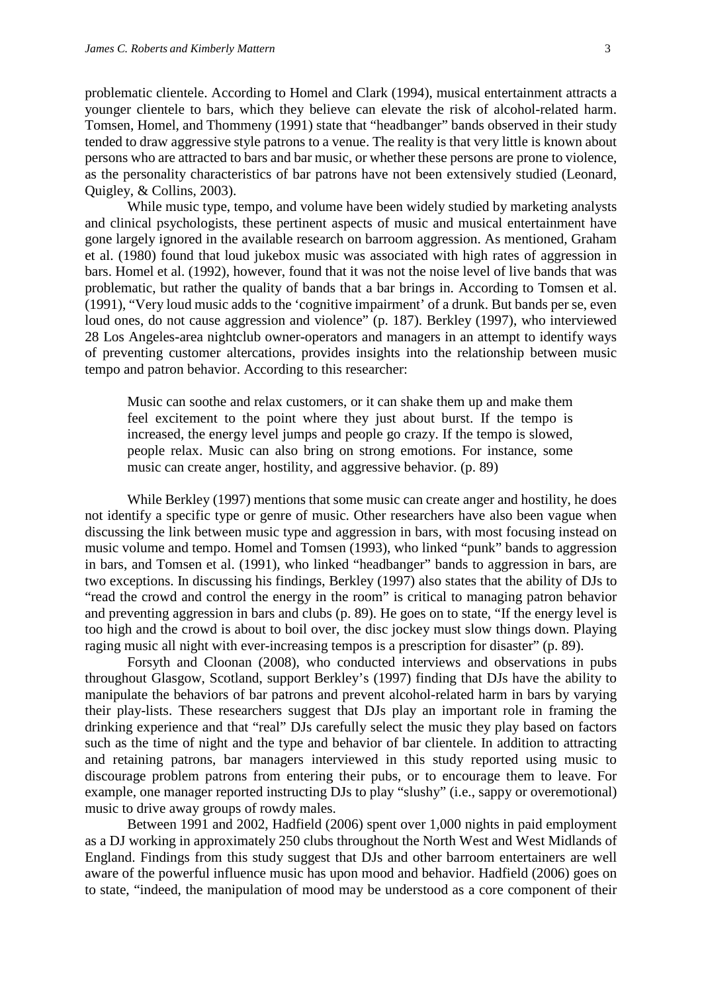problematic clientele. According to Homel and Clark (1994), musical entertainment attracts a younger clientele to bars, which they believe can elevate the risk of alcohol-related harm. Tomsen, Homel, and Thommeny (1991) state that "headbanger" bands observed in their study tended to draw aggressive style patrons to a venue. The reality is that very little is known about persons who are attracted to bars and bar music, or whether these persons are prone to violence, as the personality characteristics of bar patrons have not been extensively studied (Leonard, Quigley, & Collins, 2003).

While music type, tempo, and volume have been widely studied by marketing analysts and clinical psychologists, these pertinent aspects of music and musical entertainment have gone largely ignored in the available research on barroom aggression. As mentioned, Graham et al. (1980) found that loud jukebox music was associated with high rates of aggression in bars. Homel et al. (1992), however, found that it was not the noise level of live bands that was problematic, but rather the quality of bands that a bar brings in. According to Tomsen et al. (1991), "Very loud music adds to the 'cognitive impairment' of a drunk. But bands per se, even loud ones, do not cause aggression and violence" (p. 187). Berkley (1997), who interviewed 28 Los Angeles-area nightclub owner-operators and managers in an attempt to identify ways of preventing customer altercations, provides insights into the relationship between music tempo and patron behavior. According to this researcher:

Music can soothe and relax customers, or it can shake them up and make them feel excitement to the point where they just about burst. If the tempo is increased, the energy level jumps and people go crazy. If the tempo is slowed, people relax. Music can also bring on strong emotions. For instance, some music can create anger, hostility, and aggressive behavior. (p. 89)

While Berkley (1997) mentions that some music can create anger and hostility, he does not identify a specific type or genre of music. Other researchers have also been vague when discussing the link between music type and aggression in bars, with most focusing instead on music volume and tempo. Homel and Tomsen (1993), who linked "punk" bands to aggression in bars, and Tomsen et al. (1991), who linked "headbanger" bands to aggression in bars, are two exceptions. In discussing his findings, Berkley (1997) also states that the ability of DJs to "read the crowd and control the energy in the room" is critical to managing patron behavior and preventing aggression in bars and clubs (p. 89). He goes on to state, "If the energy level is too high and the crowd is about to boil over, the disc jockey must slow things down. Playing raging music all night with ever-increasing tempos is a prescription for disaster" (p. 89).

Forsyth and Cloonan (2008), who conducted interviews and observations in pubs throughout Glasgow, Scotland, support Berkley's (1997) finding that DJs have the ability to manipulate the behaviors of bar patrons and prevent alcohol-related harm in bars by varying their play-lists. These researchers suggest that DJs play an important role in framing the drinking experience and that "real" DJs carefully select the music they play based on factors such as the time of night and the type and behavior of bar clientele. In addition to attracting and retaining patrons, bar managers interviewed in this study reported using music to discourage problem patrons from entering their pubs, or to encourage them to leave. For example, one manager reported instructing DJs to play "slushy" (i.e., sappy or overemotional) music to drive away groups of rowdy males.

Between 1991 and 2002, Hadfield (2006) spent over 1,000 nights in paid employment as a DJ working in approximately 250 clubs throughout the North West and West Midlands of England. Findings from this study suggest that DJs and other barroom entertainers are well aware of the powerful influence music has upon mood and behavior. Hadfield (2006) goes on to state, "indeed, the manipulation of mood may be understood as a core component of their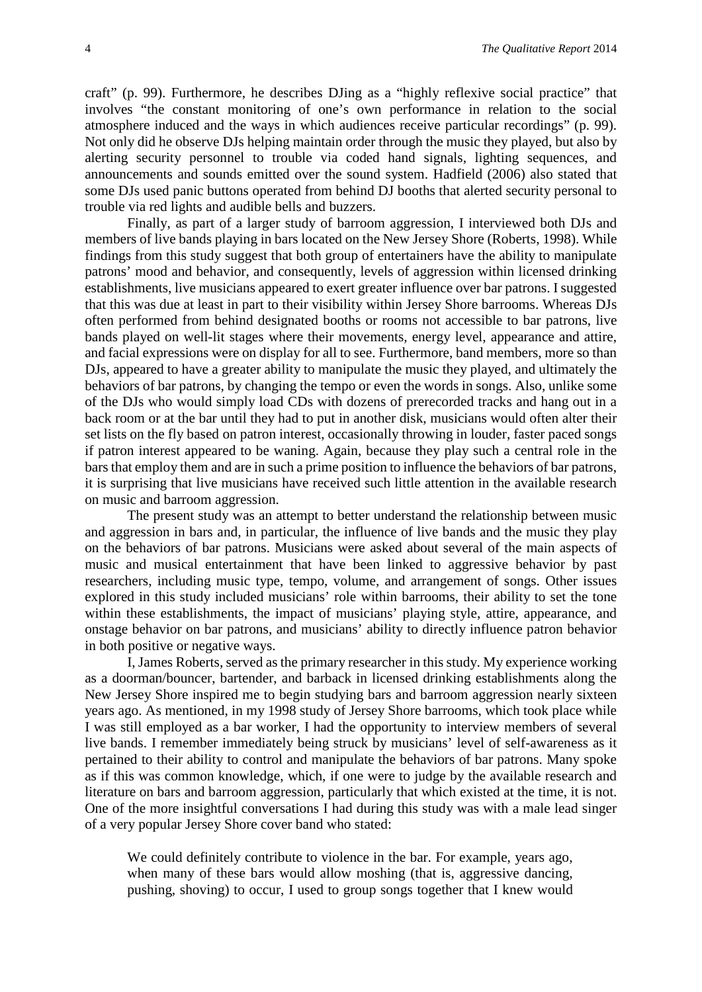craft" (p. 99). Furthermore, he describes DJing as a "highly reflexive social practice" that involves "the constant monitoring of one's own performance in relation to the social atmosphere induced and the ways in which audiences receive particular recordings" (p. 99). Not only did he observe DJs helping maintain order through the music they played, but also by alerting security personnel to trouble via coded hand signals, lighting sequences, and announcements and sounds emitted over the sound system. Hadfield (2006) also stated that some DJs used panic buttons operated from behind DJ booths that alerted security personal to trouble via red lights and audible bells and buzzers.

Finally, as part of a larger study of barroom aggression, I interviewed both DJs and members of live bands playing in bars located on the New Jersey Shore (Roberts, 1998). While findings from this study suggest that both group of entertainers have the ability to manipulate patrons' mood and behavior, and consequently, levels of aggression within licensed drinking establishments, live musicians appeared to exert greater influence over bar patrons. I suggested that this was due at least in part to their visibility within Jersey Shore barrooms. Whereas DJs often performed from behind designated booths or rooms not accessible to bar patrons, live bands played on well-lit stages where their movements, energy level, appearance and attire, and facial expressions were on display for all to see. Furthermore, band members, more so than DJs, appeared to have a greater ability to manipulate the music they played, and ultimately the behaviors of bar patrons, by changing the tempo or even the words in songs. Also, unlike some of the DJs who would simply load CDs with dozens of prerecorded tracks and hang out in a back room or at the bar until they had to put in another disk, musicians would often alter their set lists on the fly based on patron interest, occasionally throwing in louder, faster paced songs if patron interest appeared to be waning. Again, because they play such a central role in the bars that employ them and are in such a prime position to influence the behaviors of bar patrons, it is surprising that live musicians have received such little attention in the available research on music and barroom aggression.

The present study was an attempt to better understand the relationship between music and aggression in bars and, in particular, the influence of live bands and the music they play on the behaviors of bar patrons. Musicians were asked about several of the main aspects of music and musical entertainment that have been linked to aggressive behavior by past researchers, including music type, tempo, volume, and arrangement of songs. Other issues explored in this study included musicians' role within barrooms, their ability to set the tone within these establishments, the impact of musicians' playing style, attire, appearance, and onstage behavior on bar patrons, and musicians' ability to directly influence patron behavior in both positive or negative ways.

I, James Roberts, served as the primary researcher in this study. My experience working as a doorman/bouncer, bartender, and barback in licensed drinking establishments along the New Jersey Shore inspired me to begin studying bars and barroom aggression nearly sixteen years ago. As mentioned, in my 1998 study of Jersey Shore barrooms, which took place while I was still employed as a bar worker, I had the opportunity to interview members of several live bands. I remember immediately being struck by musicians' level of self-awareness as it pertained to their ability to control and manipulate the behaviors of bar patrons. Many spoke as if this was common knowledge, which, if one were to judge by the available research and literature on bars and barroom aggression, particularly that which existed at the time, it is not. One of the more insightful conversations I had during this study was with a male lead singer of a very popular Jersey Shore cover band who stated:

We could definitely contribute to violence in the bar. For example, years ago, when many of these bars would allow moshing (that is, aggressive dancing, pushing, shoving) to occur, I used to group songs together that I knew would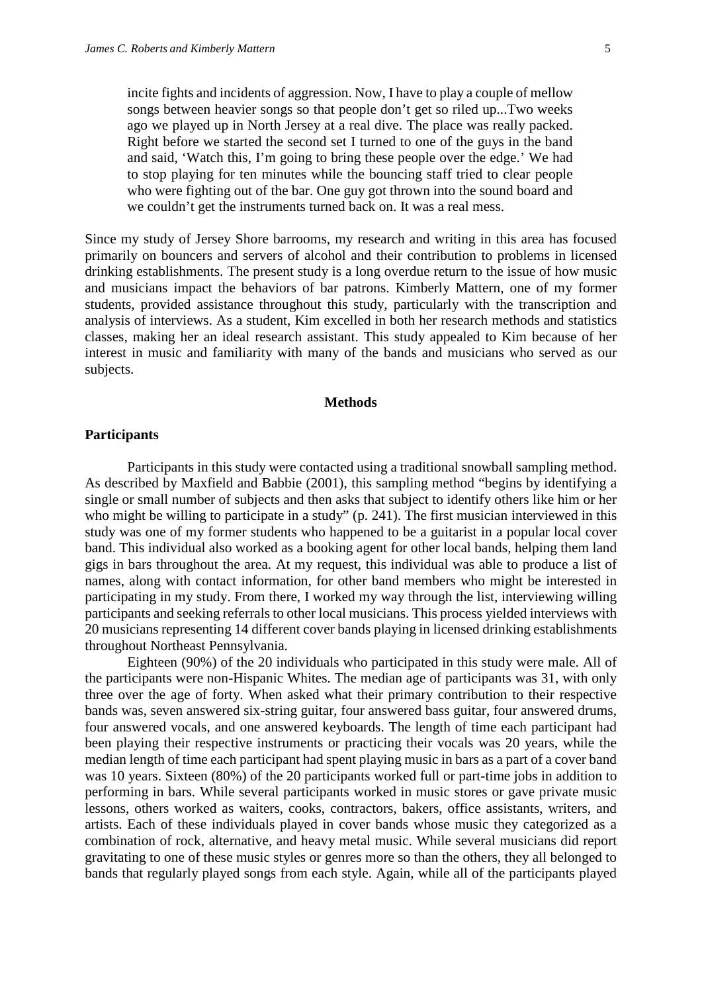incite fights and incidents of aggression. Now, I have to play a couple of mellow songs between heavier songs so that people don't get so riled up...Two weeks ago we played up in North Jersey at a real dive. The place was really packed. Right before we started the second set I turned to one of the guys in the band and said, 'Watch this, I'm going to bring these people over the edge.' We had to stop playing for ten minutes while the bouncing staff tried to clear people who were fighting out of the bar. One guy got thrown into the sound board and we couldn't get the instruments turned back on. It was a real mess.

Since my study of Jersey Shore barrooms, my research and writing in this area has focused primarily on bouncers and servers of alcohol and their contribution to problems in licensed drinking establishments. The present study is a long overdue return to the issue of how music and musicians impact the behaviors of bar patrons. Kimberly Mattern, one of my former students, provided assistance throughout this study, particularly with the transcription and analysis of interviews. As a student, Kim excelled in both her research methods and statistics classes, making her an ideal research assistant. This study appealed to Kim because of her interest in music and familiarity with many of the bands and musicians who served as our subjects.

#### **Methods**

#### **Participants**

Participants in this study were contacted using a traditional snowball sampling method. As described by Maxfield and Babbie (2001), this sampling method "begins by identifying a single or small number of subjects and then asks that subject to identify others like him or her who might be willing to participate in a study" (p. 241). The first musician interviewed in this study was one of my former students who happened to be a guitarist in a popular local cover band. This individual also worked as a booking agent for other local bands, helping them land gigs in bars throughout the area. At my request, this individual was able to produce a list of names, along with contact information, for other band members who might be interested in participating in my study. From there, I worked my way through the list, interviewing willing participants and seeking referrals to other local musicians. This process yielded interviews with 20 musicians representing 14 different cover bands playing in licensed drinking establishments throughout Northeast Pennsylvania.

Eighteen (90%) of the 20 individuals who participated in this study were male. All of the participants were non-Hispanic Whites. The median age of participants was 31, with only three over the age of forty. When asked what their primary contribution to their respective bands was, seven answered six-string guitar, four answered bass guitar, four answered drums, four answered vocals, and one answered keyboards. The length of time each participant had been playing their respective instruments or practicing their vocals was 20 years, while the median length of time each participant had spent playing music in bars as a part of a cover band was 10 years. Sixteen (80%) of the 20 participants worked full or part-time jobs in addition to performing in bars. While several participants worked in music stores or gave private music lessons, others worked as waiters, cooks, contractors, bakers, office assistants, writers, and artists. Each of these individuals played in cover bands whose music they categorized as a combination of rock, alternative, and heavy metal music. While several musicians did report gravitating to one of these music styles or genres more so than the others, they all belonged to bands that regularly played songs from each style. Again, while all of the participants played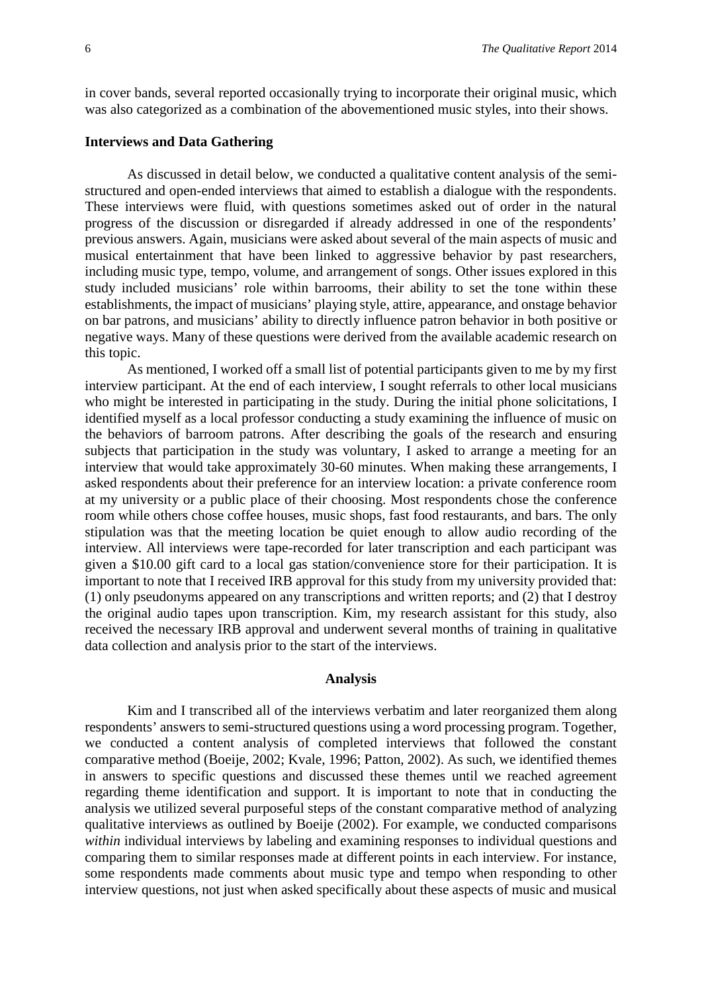in cover bands, several reported occasionally trying to incorporate their original music, which was also categorized as a combination of the abovementioned music styles, into their shows.

#### **Interviews and Data Gathering**

As discussed in detail below, we conducted a qualitative content analysis of the semistructured and open-ended interviews that aimed to establish a dialogue with the respondents. These interviews were fluid, with questions sometimes asked out of order in the natural progress of the discussion or disregarded if already addressed in one of the respondents' previous answers. Again, musicians were asked about several of the main aspects of music and musical entertainment that have been linked to aggressive behavior by past researchers, including music type, tempo, volume, and arrangement of songs. Other issues explored in this study included musicians' role within barrooms, their ability to set the tone within these establishments, the impact of musicians' playing style, attire, appearance, and onstage behavior on bar patrons, and musicians' ability to directly influence patron behavior in both positive or negative ways. Many of these questions were derived from the available academic research on this topic.

As mentioned, I worked off a small list of potential participants given to me by my first interview participant. At the end of each interview, I sought referrals to other local musicians who might be interested in participating in the study. During the initial phone solicitations, I identified myself as a local professor conducting a study examining the influence of music on the behaviors of barroom patrons. After describing the goals of the research and ensuring subjects that participation in the study was voluntary, I asked to arrange a meeting for an interview that would take approximately 30-60 minutes. When making these arrangements, I asked respondents about their preference for an interview location: a private conference room at my university or a public place of their choosing. Most respondents chose the conference room while others chose coffee houses, music shops, fast food restaurants, and bars. The only stipulation was that the meeting location be quiet enough to allow audio recording of the interview. All interviews were tape-recorded for later transcription and each participant was given a \$10.00 gift card to a local gas station/convenience store for their participation. It is important to note that I received IRB approval for this study from my university provided that: (1) only pseudonyms appeared on any transcriptions and written reports; and (2) that I destroy the original audio tapes upon transcription. Kim, my research assistant for this study, also received the necessary IRB approval and underwent several months of training in qualitative data collection and analysis prior to the start of the interviews.

#### **Analysis**

Kim and I transcribed all of the interviews verbatim and later reorganized them along respondents' answers to semi-structured questions using a word processing program. Together, we conducted a content analysis of completed interviews that followed the constant comparative method (Boeije, 2002; Kvale, 1996; Patton, 2002). As such, we identified themes in answers to specific questions and discussed these themes until we reached agreement regarding theme identification and support. It is important to note that in conducting the analysis we utilized several purposeful steps of the constant comparative method of analyzing qualitative interviews as outlined by Boeije (2002). For example, we conducted comparisons *within* individual interviews by labeling and examining responses to individual questions and comparing them to similar responses made at different points in each interview. For instance, some respondents made comments about music type and tempo when responding to other interview questions, not just when asked specifically about these aspects of music and musical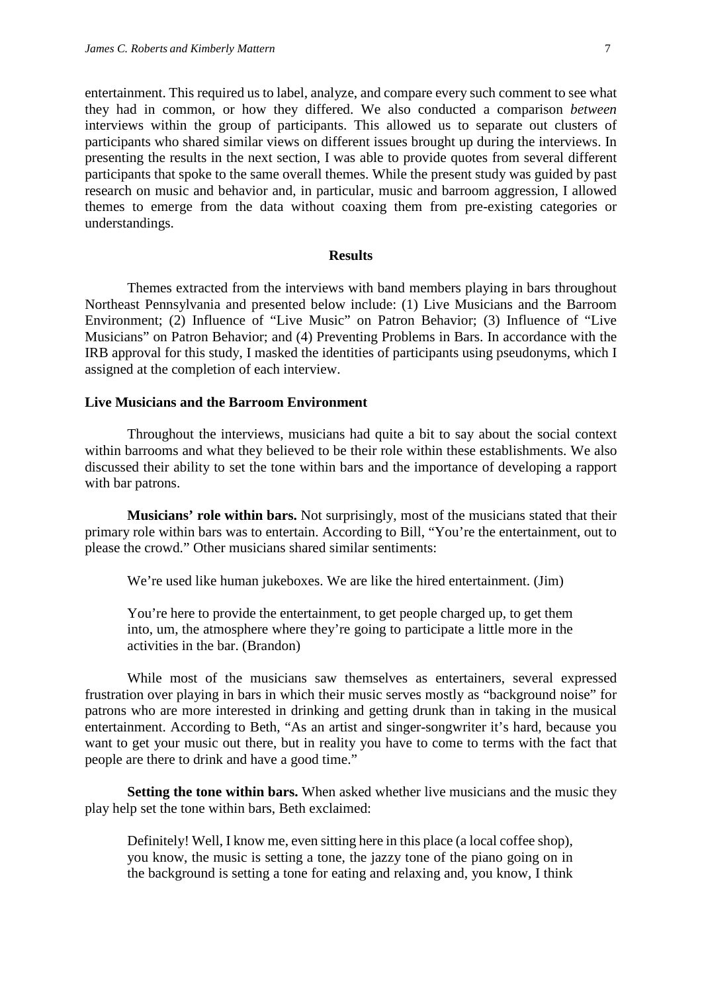entertainment. This required us to label, analyze, and compare every such comment to see what they had in common, or how they differed. We also conducted a comparison *between* interviews within the group of participants. This allowed us to separate out clusters of participants who shared similar views on different issues brought up during the interviews. In presenting the results in the next section, I was able to provide quotes from several different participants that spoke to the same overall themes. While the present study was guided by past research on music and behavior and, in particular, music and barroom aggression, I allowed themes to emerge from the data without coaxing them from pre-existing categories or understandings.

#### **Results**

Themes extracted from the interviews with band members playing in bars throughout Northeast Pennsylvania and presented below include: (1) Live Musicians and the Barroom Environment; (2) Influence of "Live Music" on Patron Behavior; (3) Influence of "Live Musicians" on Patron Behavior; and (4) Preventing Problems in Bars. In accordance with the IRB approval for this study, I masked the identities of participants using pseudonyms, which I assigned at the completion of each interview.

#### **Live Musicians and the Barroom Environment**

Throughout the interviews, musicians had quite a bit to say about the social context within barrooms and what they believed to be their role within these establishments. We also discussed their ability to set the tone within bars and the importance of developing a rapport with bar patrons.

**Musicians' role within bars.** Not surprisingly, most of the musicians stated that their primary role within bars was to entertain. According to Bill, "You're the entertainment, out to please the crowd." Other musicians shared similar sentiments:

We're used like human jukeboxes. We are like the hired entertainment. (Jim)

You're here to provide the entertainment, to get people charged up, to get them into, um, the atmosphere where they're going to participate a little more in the activities in the bar. (Brandon)

While most of the musicians saw themselves as entertainers, several expressed frustration over playing in bars in which their music serves mostly as "background noise" for patrons who are more interested in drinking and getting drunk than in taking in the musical entertainment. According to Beth, "As an artist and singer-songwriter it's hard, because you want to get your music out there, but in reality you have to come to terms with the fact that people are there to drink and have a good time."

**Setting the tone within bars.** When asked whether live musicians and the music they play help set the tone within bars, Beth exclaimed:

Definitely! Well, I know me, even sitting here in this place (a local coffee shop), you know, the music is setting a tone, the jazzy tone of the piano going on in the background is setting a tone for eating and relaxing and, you know, I think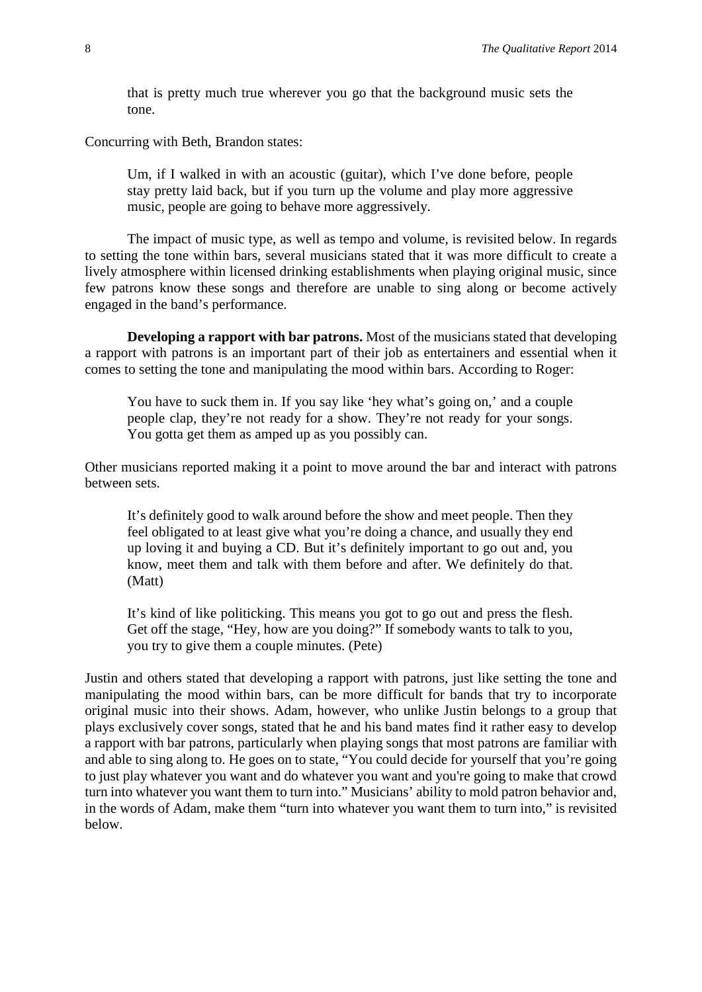that is pretty much true wherever you go that the background music sets the tone.

Concurring with Beth, Brandon states:

Um, if I walked in with an acoustic (guitar), which I've done before, people stay pretty laid back, but if you turn up the volume and play more aggressive music, people are going to behave more aggressively.

The impact of music type, as well as tempo and volume, is revisited below. In regards to setting the tone within bars, several musicians stated that it was more difficult to create a lively atmosphere within licensed drinking establishments when playing original music, since few patrons know these songs and therefore are unable to sing along or become actively engaged in the band's performance.

**Developing a rapport with bar patrons.** Most of the musicians stated that developing a rapport with patrons is an important part of their job as entertainers and essential when it comes to setting the tone and manipulating the mood within bars. According to Roger:

You have to suck them in. If you say like 'hey what's going on,' and a couple people clap, they're not ready for a show. They're not ready for your songs. You gotta get them as amped up as you possibly can.

Other musicians reported making it a point to move around the bar and interact with patrons between sets.

It's definitely good to walk around before the show and meet people. Then they feel obligated to at least give what you're doing a chance, and usually they end up loving it and buying a CD. But it's definitely important to go out and, you know, meet them and talk with them before and after. We definitely do that. (Matt)

It's kind of like politicking. This means you got to go out and press the flesh. Get off the stage, "Hey, how are you doing?" If somebody wants to talk to you, you try to give them a couple minutes. (Pete)

Justin and others stated that developing a rapport with patrons, just like setting the tone and manipulating the mood within bars, can be more difficult for bands that try to incorporate original music into their shows. Adam, however, who unlike Justin belongs to a group that plays exclusively cover songs, stated that he and his band mates find it rather easy to develop a rapport with bar patrons, particularly when playing songs that most patrons are familiar with and able to sing along to. He goes on to state, "You could decide for yourself that you're going to just play whatever you want and do whatever you want and you're going to make that crowd turn into whatever you want them to turn into." Musicians' ability to mold patron behavior and, in the words of Adam, make them "turn into whatever you want them to turn into," is revisited below.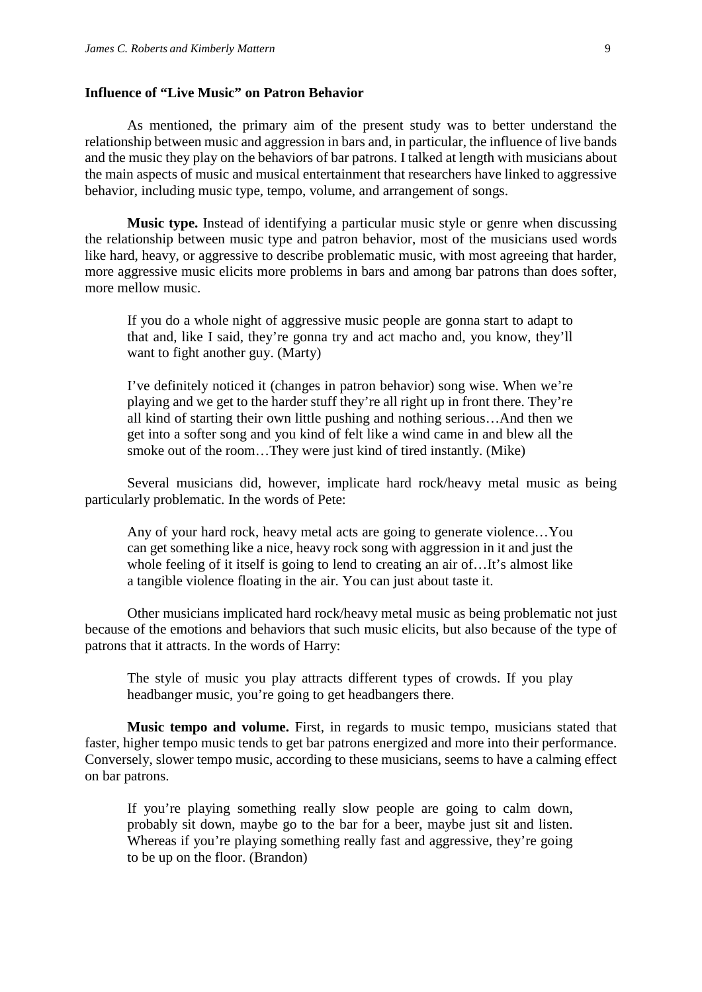#### **Influence of "Live Music" on Patron Behavior**

As mentioned, the primary aim of the present study was to better understand the relationship between music and aggression in bars and, in particular, the influence of live bands and the music they play on the behaviors of bar patrons. I talked at length with musicians about the main aspects of music and musical entertainment that researchers have linked to aggressive behavior, including music type, tempo, volume, and arrangement of songs.

**Music type.** Instead of identifying a particular music style or genre when discussing the relationship between music type and patron behavior, most of the musicians used words like hard, heavy, or aggressive to describe problematic music, with most agreeing that harder, more aggressive music elicits more problems in bars and among bar patrons than does softer, more mellow music.

If you do a whole night of aggressive music people are gonna start to adapt to that and, like I said, they're gonna try and act macho and, you know, they'll want to fight another guy. (Marty)

I've definitely noticed it (changes in patron behavior) song wise. When we're playing and we get to the harder stuff they're all right up in front there. They're all kind of starting their own little pushing and nothing serious…And then we get into a softer song and you kind of felt like a wind came in and blew all the smoke out of the room…They were just kind of tired instantly. (Mike)

Several musicians did, however, implicate hard rock/heavy metal music as being particularly problematic. In the words of Pete:

Any of your hard rock, heavy metal acts are going to generate violence…You can get something like a nice, heavy rock song with aggression in it and just the whole feeling of it itself is going to lend to creating an air of...It's almost like a tangible violence floating in the air. You can just about taste it.

Other musicians implicated hard rock/heavy metal music as being problematic not just because of the emotions and behaviors that such music elicits, but also because of the type of patrons that it attracts. In the words of Harry:

The style of music you play attracts different types of crowds. If you play headbanger music, you're going to get headbangers there.

**Music tempo and volume.** First, in regards to music tempo, musicians stated that faster, higher tempo music tends to get bar patrons energized and more into their performance. Conversely, slower tempo music, according to these musicians, seems to have a calming effect on bar patrons.

If you're playing something really slow people are going to calm down, probably sit down, maybe go to the bar for a beer, maybe just sit and listen. Whereas if you're playing something really fast and aggressive, they're going to be up on the floor. (Brandon)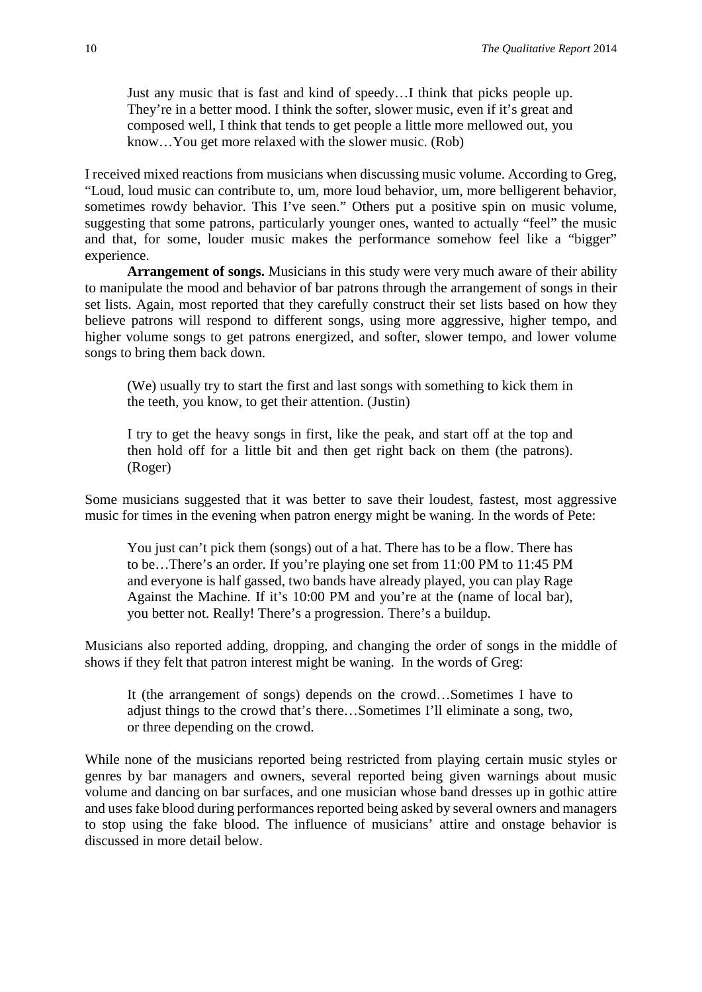Just any music that is fast and kind of speedy…I think that picks people up. They're in a better mood. I think the softer, slower music, even if it's great and composed well, I think that tends to get people a little more mellowed out, you know…You get more relaxed with the slower music. (Rob)

I received mixed reactions from musicians when discussing music volume. According to Greg, "Loud, loud music can contribute to, um, more loud behavior, um, more belligerent behavior, sometimes rowdy behavior. This I've seen." Others put a positive spin on music volume, suggesting that some patrons, particularly younger ones, wanted to actually "feel" the music and that, for some, louder music makes the performance somehow feel like a "bigger" experience.

**Arrangement of songs.** Musicians in this study were very much aware of their ability to manipulate the mood and behavior of bar patrons through the arrangement of songs in their set lists. Again, most reported that they carefully construct their set lists based on how they believe patrons will respond to different songs, using more aggressive, higher tempo, and higher volume songs to get patrons energized, and softer, slower tempo, and lower volume songs to bring them back down.

(We) usually try to start the first and last songs with something to kick them in the teeth, you know, to get their attention. (Justin)

I try to get the heavy songs in first, like the peak, and start off at the top and then hold off for a little bit and then get right back on them (the patrons). (Roger)

Some musicians suggested that it was better to save their loudest, fastest, most aggressive music for times in the evening when patron energy might be waning. In the words of Pete:

You just can't pick them (songs) out of a hat. There has to be a flow. There has to be…There's an order. If you're playing one set from 11:00 PM to 11:45 PM and everyone is half gassed, two bands have already played, you can play Rage Against the Machine. If it's 10:00 PM and you're at the (name of local bar), you better not. Really! There's a progression. There's a buildup.

Musicians also reported adding, dropping, and changing the order of songs in the middle of shows if they felt that patron interest might be waning. In the words of Greg:

It (the arrangement of songs) depends on the crowd…Sometimes I have to adjust things to the crowd that's there…Sometimes I'll eliminate a song, two, or three depending on the crowd.

While none of the musicians reported being restricted from playing certain music styles or genres by bar managers and owners, several reported being given warnings about music volume and dancing on bar surfaces, and one musician whose band dresses up in gothic attire and uses fake blood during performances reported being asked by several owners and managers to stop using the fake blood. The influence of musicians' attire and onstage behavior is discussed in more detail below.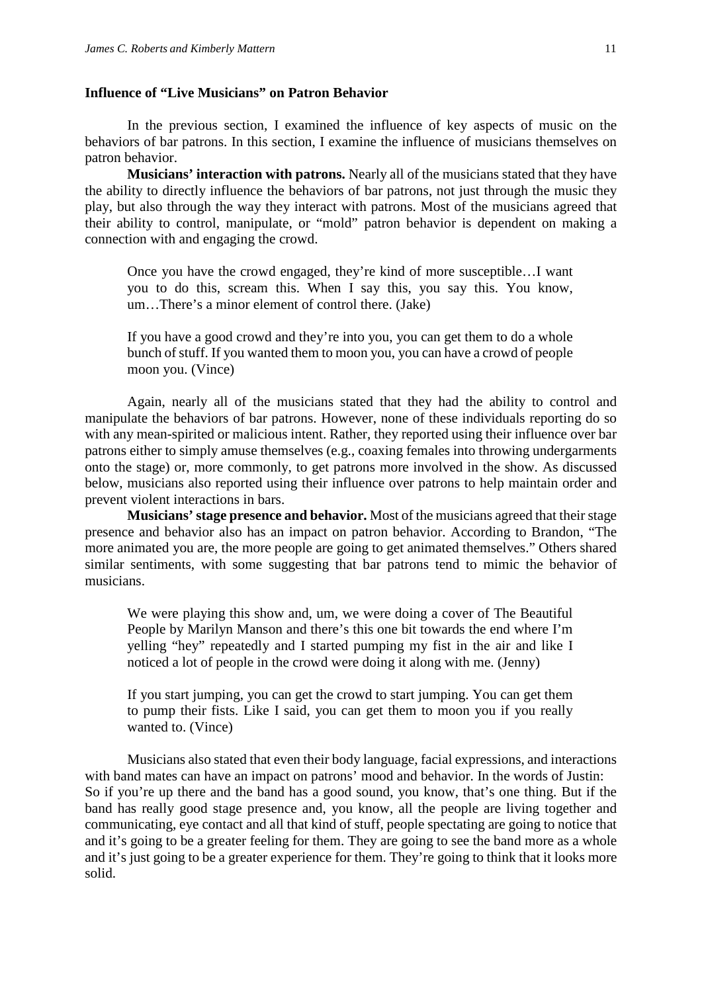#### **Influence of "Live Musicians" on Patron Behavior**

In the previous section, I examined the influence of key aspects of music on the behaviors of bar patrons. In this section, I examine the influence of musicians themselves on patron behavior.

**Musicians' interaction with patrons.** Nearly all of the musicians stated that they have the ability to directly influence the behaviors of bar patrons, not just through the music they play, but also through the way they interact with patrons. Most of the musicians agreed that their ability to control, manipulate, or "mold" patron behavior is dependent on making a connection with and engaging the crowd.

Once you have the crowd engaged, they're kind of more susceptible…I want you to do this, scream this. When I say this, you say this. You know, um…There's a minor element of control there. (Jake)

If you have a good crowd and they're into you, you can get them to do a whole bunch of stuff. If you wanted them to moon you, you can have a crowd of people moon you. (Vince)

Again, nearly all of the musicians stated that they had the ability to control and manipulate the behaviors of bar patrons. However, none of these individuals reporting do so with any mean-spirited or malicious intent. Rather, they reported using their influence over bar patrons either to simply amuse themselves (e.g., coaxing females into throwing undergarments onto the stage) or, more commonly, to get patrons more involved in the show. As discussed below, musicians also reported using their influence over patrons to help maintain order and prevent violent interactions in bars.

**Musicians' stage presence and behavior.** Most of the musicians agreed that their stage presence and behavior also has an impact on patron behavior. According to Brandon, "The more animated you are, the more people are going to get animated themselves." Others shared similar sentiments, with some suggesting that bar patrons tend to mimic the behavior of musicians.

We were playing this show and, um, we were doing a cover of The Beautiful People by Marilyn Manson and there's this one bit towards the end where I'm yelling "hey" repeatedly and I started pumping my fist in the air and like I noticed a lot of people in the crowd were doing it along with me. (Jenny)

If you start jumping, you can get the crowd to start jumping. You can get them to pump their fists. Like I said, you can get them to moon you if you really wanted to. (Vince)

Musicians also stated that even their body language, facial expressions, and interactions with band mates can have an impact on patrons' mood and behavior. In the words of Justin: So if you're up there and the band has a good sound, you know, that's one thing. But if the band has really good stage presence and, you know, all the people are living together and communicating, eye contact and all that kind of stuff, people spectating are going to notice that and it's going to be a greater feeling for them. They are going to see the band more as a whole and it's just going to be a greater experience for them. They're going to think that it looks more solid.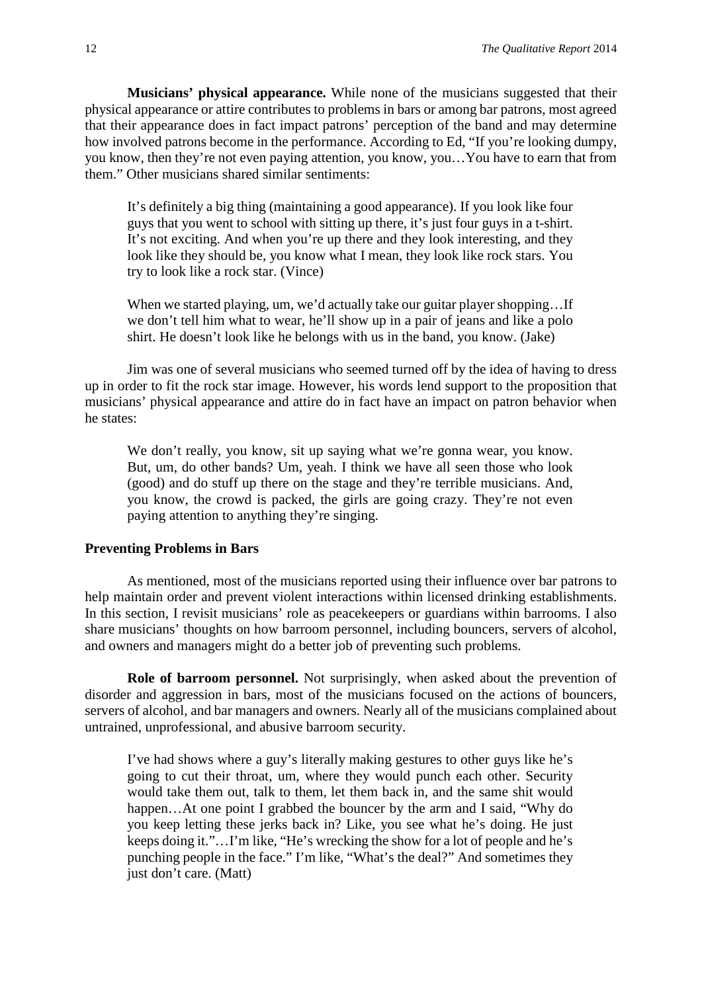**Musicians' physical appearance.** While none of the musicians suggested that their physical appearance or attire contributes to problems in bars or among bar patrons, most agreed that their appearance does in fact impact patrons' perception of the band and may determine how involved patrons become in the performance. According to Ed, "If you're looking dumpy, you know, then they're not even paying attention, you know, you…You have to earn that from them." Other musicians shared similar sentiments:

It's definitely a big thing (maintaining a good appearance). If you look like four guys that you went to school with sitting up there, it's just four guys in a t-shirt. It's not exciting. And when you're up there and they look interesting, and they look like they should be, you know what I mean, they look like rock stars. You try to look like a rock star. (Vince)

When we started playing, um, we'd actually take our guitar player shopping...If we don't tell him what to wear, he'll show up in a pair of jeans and like a polo shirt. He doesn't look like he belongs with us in the band, you know. (Jake)

Jim was one of several musicians who seemed turned off by the idea of having to dress up in order to fit the rock star image. However, his words lend support to the proposition that musicians' physical appearance and attire do in fact have an impact on patron behavior when he states:

We don't really, you know, sit up saying what we're gonna wear, you know. But, um, do other bands? Um, yeah. I think we have all seen those who look (good) and do stuff up there on the stage and they're terrible musicians. And, you know, the crowd is packed, the girls are going crazy. They're not even paying attention to anything they're singing.

#### **Preventing Problems in Bars**

As mentioned, most of the musicians reported using their influence over bar patrons to help maintain order and prevent violent interactions within licensed drinking establishments. In this section, I revisit musicians' role as peacekeepers or guardians within barrooms. I also share musicians' thoughts on how barroom personnel, including bouncers, servers of alcohol, and owners and managers might do a better job of preventing such problems.

**Role of barroom personnel.** Not surprisingly, when asked about the prevention of disorder and aggression in bars, most of the musicians focused on the actions of bouncers, servers of alcohol, and bar managers and owners. Nearly all of the musicians complained about untrained, unprofessional, and abusive barroom security.

I've had shows where a guy's literally making gestures to other guys like he's going to cut their throat, um, where they would punch each other. Security would take them out, talk to them, let them back in, and the same shit would happen...At one point I grabbed the bouncer by the arm and I said, "Why do you keep letting these jerks back in? Like, you see what he's doing. He just keeps doing it."…I'm like, "He's wrecking the show for a lot of people and he's punching people in the face." I'm like, "What's the deal?" And sometimes they just don't care. (Matt)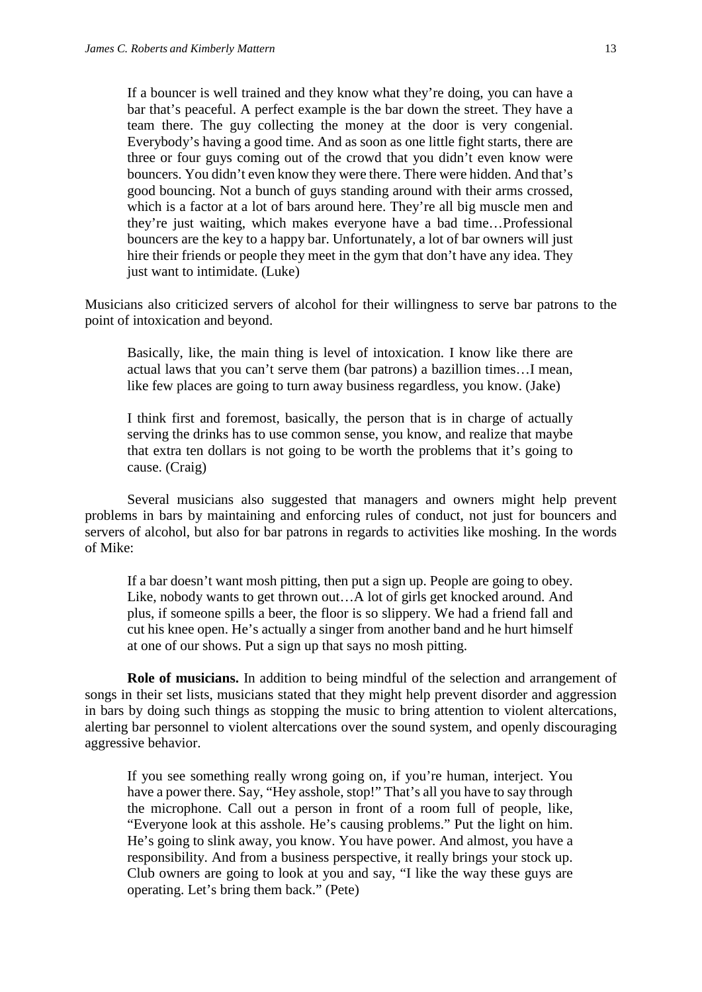If a bouncer is well trained and they know what they're doing, you can have a bar that's peaceful. A perfect example is the bar down the street. They have a team there. The guy collecting the money at the door is very congenial. Everybody's having a good time. And as soon as one little fight starts, there are three or four guys coming out of the crowd that you didn't even know were bouncers. You didn't even know they were there. There were hidden. And that's good bouncing. Not a bunch of guys standing around with their arms crossed, which is a factor at a lot of bars around here. They're all big muscle men and they're just waiting, which makes everyone have a bad time…Professional bouncers are the key to a happy bar. Unfortunately, a lot of bar owners will just hire their friends or people they meet in the gym that don't have any idea. They just want to intimidate. (Luke)

Musicians also criticized servers of alcohol for their willingness to serve bar patrons to the point of intoxication and beyond.

Basically, like, the main thing is level of intoxication. I know like there are actual laws that you can't serve them (bar patrons) a bazillion times…I mean, like few places are going to turn away business regardless, you know. (Jake)

I think first and foremost, basically, the person that is in charge of actually serving the drinks has to use common sense, you know, and realize that maybe that extra ten dollars is not going to be worth the problems that it's going to cause. (Craig)

Several musicians also suggested that managers and owners might help prevent problems in bars by maintaining and enforcing rules of conduct, not just for bouncers and servers of alcohol, but also for bar patrons in regards to activities like moshing. In the words of Mike:

If a bar doesn't want mosh pitting, then put a sign up. People are going to obey. Like, nobody wants to get thrown out…A lot of girls get knocked around. And plus, if someone spills a beer, the floor is so slippery. We had a friend fall and cut his knee open. He's actually a singer from another band and he hurt himself at one of our shows. Put a sign up that says no mosh pitting.

**Role of musicians.** In addition to being mindful of the selection and arrangement of songs in their set lists, musicians stated that they might help prevent disorder and aggression in bars by doing such things as stopping the music to bring attention to violent altercations, alerting bar personnel to violent altercations over the sound system, and openly discouraging aggressive behavior.

If you see something really wrong going on, if you're human, interject. You have a power there. Say, "Hey asshole, stop!" That's all you have to say through the microphone. Call out a person in front of a room full of people, like, "Everyone look at this asshole. He's causing problems." Put the light on him. He's going to slink away, you know. You have power. And almost, you have a responsibility. And from a business perspective, it really brings your stock up. Club owners are going to look at you and say, "I like the way these guys are operating. Let's bring them back." (Pete)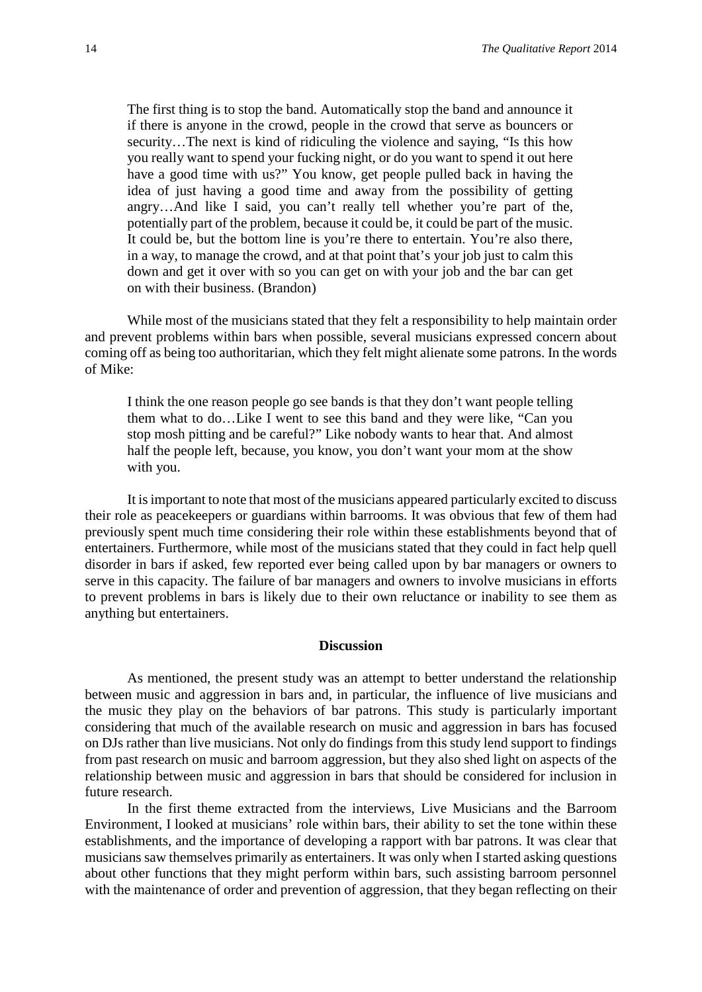The first thing is to stop the band. Automatically stop the band and announce it if there is anyone in the crowd, people in the crowd that serve as bouncers or security…The next is kind of ridiculing the violence and saying, "Is this how you really want to spend your fucking night, or do you want to spend it out here have a good time with us?" You know, get people pulled back in having the idea of just having a good time and away from the possibility of getting angry…And like I said, you can't really tell whether you're part of the, potentially part of the problem, because it could be, it could be part of the music. It could be, but the bottom line is you're there to entertain. You're also there, in a way, to manage the crowd, and at that point that's your job just to calm this down and get it over with so you can get on with your job and the bar can get on with their business. (Brandon)

While most of the musicians stated that they felt a responsibility to help maintain order and prevent problems within bars when possible, several musicians expressed concern about coming off as being too authoritarian, which they felt might alienate some patrons. In the words of Mike:

I think the one reason people go see bands is that they don't want people telling them what to do…Like I went to see this band and they were like, "Can you stop mosh pitting and be careful?" Like nobody wants to hear that. And almost half the people left, because, you know, you don't want your mom at the show with you.

It is important to note that most of the musicians appeared particularly excited to discuss their role as peacekeepers or guardians within barrooms. It was obvious that few of them had previously spent much time considering their role within these establishments beyond that of entertainers. Furthermore, while most of the musicians stated that they could in fact help quell disorder in bars if asked, few reported ever being called upon by bar managers or owners to serve in this capacity. The failure of bar managers and owners to involve musicians in efforts to prevent problems in bars is likely due to their own reluctance or inability to see them as anything but entertainers.

#### **Discussion**

As mentioned, the present study was an attempt to better understand the relationship between music and aggression in bars and, in particular, the influence of live musicians and the music they play on the behaviors of bar patrons. This study is particularly important considering that much of the available research on music and aggression in bars has focused on DJs rather than live musicians. Not only do findings from this study lend support to findings from past research on music and barroom aggression, but they also shed light on aspects of the relationship between music and aggression in bars that should be considered for inclusion in future research.

In the first theme extracted from the interviews, Live Musicians and the Barroom Environment, I looked at musicians' role within bars, their ability to set the tone within these establishments, and the importance of developing a rapport with bar patrons. It was clear that musicians saw themselves primarily as entertainers. It was only when I started asking questions about other functions that they might perform within bars, such assisting barroom personnel with the maintenance of order and prevention of aggression, that they began reflecting on their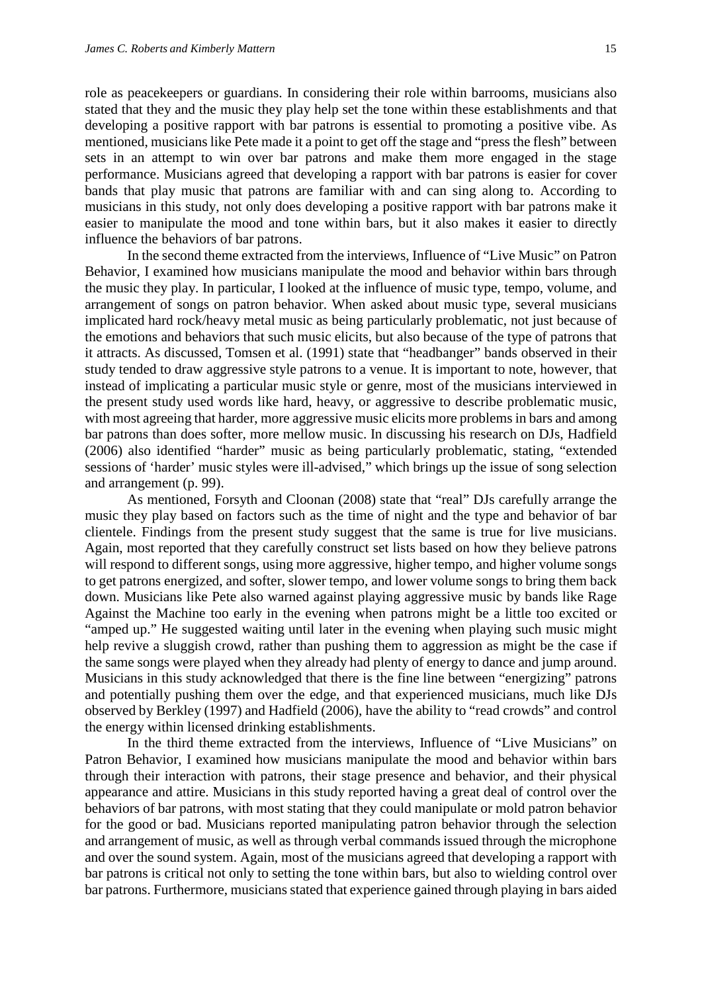role as peacekeepers or guardians. In considering their role within barrooms, musicians also stated that they and the music they play help set the tone within these establishments and that developing a positive rapport with bar patrons is essential to promoting a positive vibe. As mentioned, musicians like Pete made it a point to get off the stage and "press the flesh" between sets in an attempt to win over bar patrons and make them more engaged in the stage performance. Musicians agreed that developing a rapport with bar patrons is easier for cover bands that play music that patrons are familiar with and can sing along to. According to musicians in this study, not only does developing a positive rapport with bar patrons make it easier to manipulate the mood and tone within bars, but it also makes it easier to directly influence the behaviors of bar patrons.

In the second theme extracted from the interviews, Influence of "Live Music" on Patron Behavior, I examined how musicians manipulate the mood and behavior within bars through the music they play. In particular, I looked at the influence of music type, tempo, volume, and arrangement of songs on patron behavior. When asked about music type, several musicians implicated hard rock/heavy metal music as being particularly problematic, not just because of the emotions and behaviors that such music elicits, but also because of the type of patrons that it attracts. As discussed, Tomsen et al. (1991) state that "headbanger" bands observed in their study tended to draw aggressive style patrons to a venue. It is important to note, however, that instead of implicating a particular music style or genre, most of the musicians interviewed in the present study used words like hard, heavy, or aggressive to describe problematic music, with most agreeing that harder, more aggressive music elicits more problems in bars and among bar patrons than does softer, more mellow music. In discussing his research on DJs, Hadfield (2006) also identified "harder" music as being particularly problematic, stating, "extended sessions of 'harder' music styles were ill-advised," which brings up the issue of song selection and arrangement (p. 99).

As mentioned, Forsyth and Cloonan (2008) state that "real" DJs carefully arrange the music they play based on factors such as the time of night and the type and behavior of bar clientele. Findings from the present study suggest that the same is true for live musicians. Again, most reported that they carefully construct set lists based on how they believe patrons will respond to different songs, using more aggressive, higher tempo, and higher volume songs to get patrons energized, and softer, slower tempo, and lower volume songs to bring them back down. Musicians like Pete also warned against playing aggressive music by bands like Rage Against the Machine too early in the evening when patrons might be a little too excited or "amped up." He suggested waiting until later in the evening when playing such music might help revive a sluggish crowd, rather than pushing them to aggression as might be the case if the same songs were played when they already had plenty of energy to dance and jump around. Musicians in this study acknowledged that there is the fine line between "energizing" patrons and potentially pushing them over the edge, and that experienced musicians, much like DJs observed by Berkley (1997) and Hadfield (2006), have the ability to "read crowds" and control the energy within licensed drinking establishments.

In the third theme extracted from the interviews, Influence of "Live Musicians" on Patron Behavior, I examined how musicians manipulate the mood and behavior within bars through their interaction with patrons, their stage presence and behavior, and their physical appearance and attire. Musicians in this study reported having a great deal of control over the behaviors of bar patrons, with most stating that they could manipulate or mold patron behavior for the good or bad. Musicians reported manipulating patron behavior through the selection and arrangement of music, as well as through verbal commands issued through the microphone and over the sound system. Again, most of the musicians agreed that developing a rapport with bar patrons is critical not only to setting the tone within bars, but also to wielding control over bar patrons. Furthermore, musicians stated that experience gained through playing in bars aided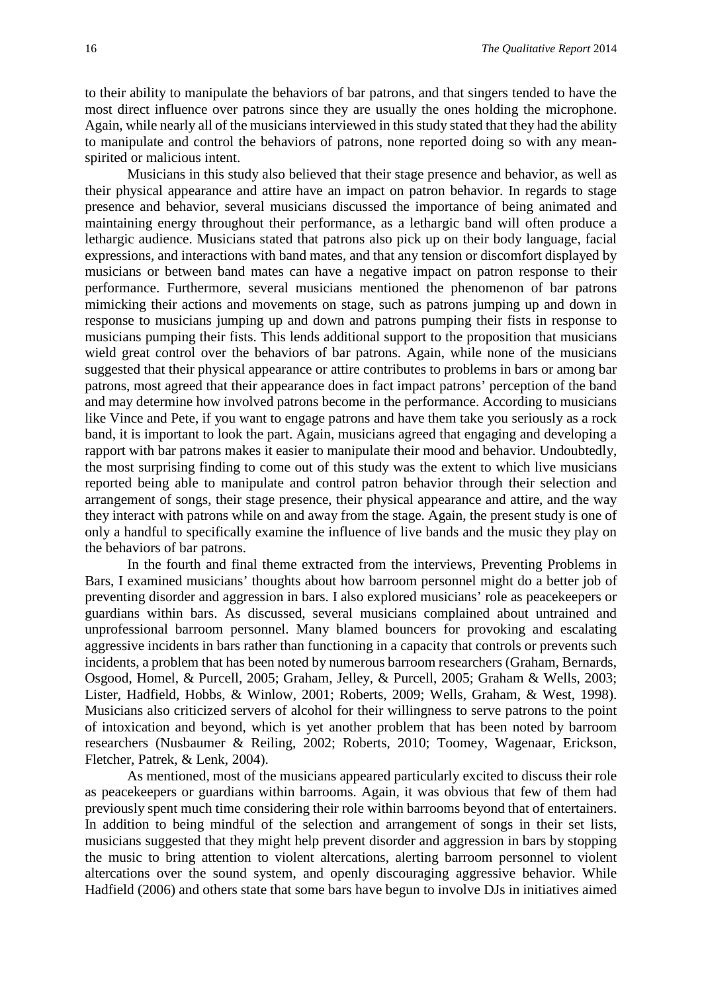to their ability to manipulate the behaviors of bar patrons, and that singers tended to have the most direct influence over patrons since they are usually the ones holding the microphone. Again, while nearly all of the musicians interviewed in this study stated that they had the ability to manipulate and control the behaviors of patrons, none reported doing so with any meanspirited or malicious intent.

Musicians in this study also believed that their stage presence and behavior, as well as their physical appearance and attire have an impact on patron behavior. In regards to stage presence and behavior, several musicians discussed the importance of being animated and maintaining energy throughout their performance, as a lethargic band will often produce a lethargic audience. Musicians stated that patrons also pick up on their body language, facial expressions, and interactions with band mates, and that any tension or discomfort displayed by musicians or between band mates can have a negative impact on patron response to their performance. Furthermore, several musicians mentioned the phenomenon of bar patrons mimicking their actions and movements on stage, such as patrons jumping up and down in response to musicians jumping up and down and patrons pumping their fists in response to musicians pumping their fists. This lends additional support to the proposition that musicians wield great control over the behaviors of bar patrons. Again, while none of the musicians suggested that their physical appearance or attire contributes to problems in bars or among bar patrons, most agreed that their appearance does in fact impact patrons' perception of the band and may determine how involved patrons become in the performance. According to musicians like Vince and Pete, if you want to engage patrons and have them take you seriously as a rock band, it is important to look the part. Again, musicians agreed that engaging and developing a rapport with bar patrons makes it easier to manipulate their mood and behavior. Undoubtedly, the most surprising finding to come out of this study was the extent to which live musicians reported being able to manipulate and control patron behavior through their selection and arrangement of songs, their stage presence, their physical appearance and attire, and the way they interact with patrons while on and away from the stage. Again, the present study is one of only a handful to specifically examine the influence of live bands and the music they play on the behaviors of bar patrons.

In the fourth and final theme extracted from the interviews, Preventing Problems in Bars, I examined musicians' thoughts about how barroom personnel might do a better job of preventing disorder and aggression in bars. I also explored musicians' role as peacekeepers or guardians within bars. As discussed, several musicians complained about untrained and unprofessional barroom personnel. Many blamed bouncers for provoking and escalating aggressive incidents in bars rather than functioning in a capacity that controls or prevents such incidents, a problem that has been noted by numerous barroom researchers (Graham, Bernards, Osgood, Homel, & Purcell, 2005; Graham, Jelley, & Purcell, 2005; Graham & Wells, 2003; Lister, Hadfield, Hobbs, & Winlow, 2001; Roberts, 2009; Wells, Graham, & West, 1998). Musicians also criticized servers of alcohol for their willingness to serve patrons to the point of intoxication and beyond, which is yet another problem that has been noted by barroom researchers (Nusbaumer & Reiling, 2002; Roberts, 2010; Toomey, Wagenaar, Erickson, Fletcher, Patrek, & Lenk, 2004).

As mentioned, most of the musicians appeared particularly excited to discuss their role as peacekeepers or guardians within barrooms. Again, it was obvious that few of them had previously spent much time considering their role within barrooms beyond that of entertainers. In addition to being mindful of the selection and arrangement of songs in their set lists, musicians suggested that they might help prevent disorder and aggression in bars by stopping the music to bring attention to violent altercations, alerting barroom personnel to violent altercations over the sound system, and openly discouraging aggressive behavior. While Hadfield (2006) and others state that some bars have begun to involve DJs in initiatives aimed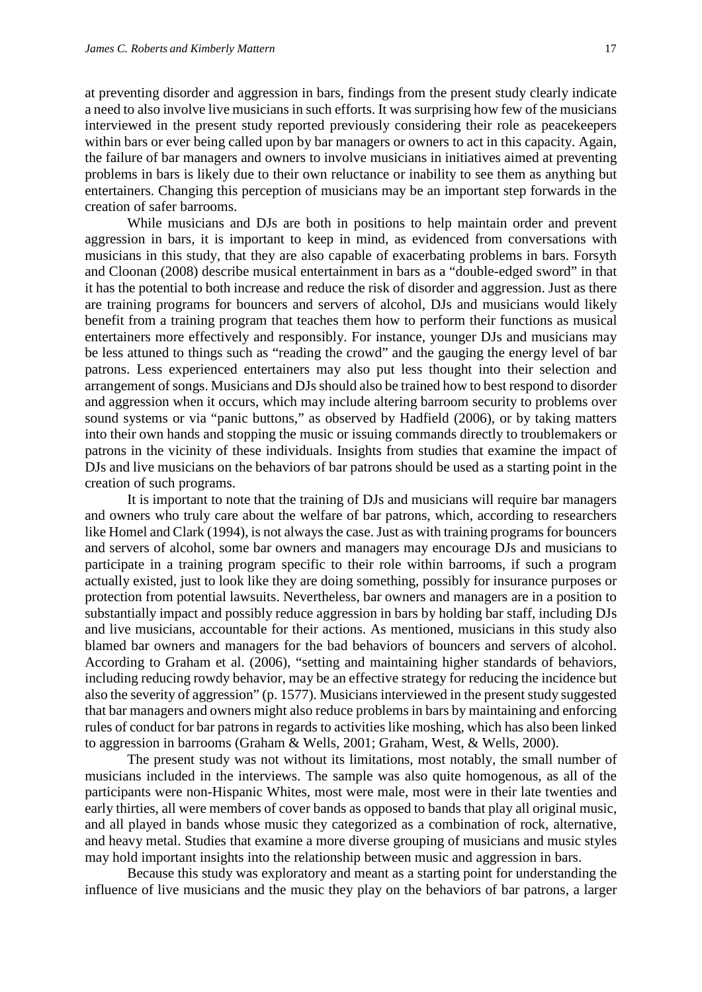at preventing disorder and aggression in bars, findings from the present study clearly indicate a need to also involve live musicians in such efforts. It was surprising how few of the musicians interviewed in the present study reported previously considering their role as peacekeepers within bars or ever being called upon by bar managers or owners to act in this capacity. Again, the failure of bar managers and owners to involve musicians in initiatives aimed at preventing problems in bars is likely due to their own reluctance or inability to see them as anything but entertainers. Changing this perception of musicians may be an important step forwards in the creation of safer barrooms.

While musicians and DJs are both in positions to help maintain order and prevent aggression in bars, it is important to keep in mind, as evidenced from conversations with musicians in this study, that they are also capable of exacerbating problems in bars. Forsyth and Cloonan (2008) describe musical entertainment in bars as a "double-edged sword" in that it has the potential to both increase and reduce the risk of disorder and aggression. Just as there are training programs for bouncers and servers of alcohol, DJs and musicians would likely benefit from a training program that teaches them how to perform their functions as musical entertainers more effectively and responsibly. For instance, younger DJs and musicians may be less attuned to things such as "reading the crowd" and the gauging the energy level of bar patrons. Less experienced entertainers may also put less thought into their selection and arrangement of songs. Musicians and DJs should also be trained how to best respond to disorder and aggression when it occurs, which may include altering barroom security to problems over sound systems or via "panic buttons," as observed by Hadfield (2006), or by taking matters into their own hands and stopping the music or issuing commands directly to troublemakers or patrons in the vicinity of these individuals. Insights from studies that examine the impact of DJs and live musicians on the behaviors of bar patrons should be used as a starting point in the creation of such programs.

It is important to note that the training of DJs and musicians will require bar managers and owners who truly care about the welfare of bar patrons, which, according to researchers like Homel and Clark (1994), is not always the case. Just as with training programs for bouncers and servers of alcohol, some bar owners and managers may encourage DJs and musicians to participate in a training program specific to their role within barrooms, if such a program actually existed, just to look like they are doing something, possibly for insurance purposes or protection from potential lawsuits. Nevertheless, bar owners and managers are in a position to substantially impact and possibly reduce aggression in bars by holding bar staff, including DJs and live musicians, accountable for their actions. As mentioned, musicians in this study also blamed bar owners and managers for the bad behaviors of bouncers and servers of alcohol. According to Graham et al. (2006), "setting and maintaining higher standards of behaviors, including reducing rowdy behavior, may be an effective strategy for reducing the incidence but also the severity of aggression" (p. 1577). Musicians interviewed in the present study suggested that bar managers and owners might also reduce problems in bars by maintaining and enforcing rules of conduct for bar patrons in regards to activities like moshing, which has also been linked to aggression in barrooms (Graham & Wells, 2001; Graham, West, & Wells, 2000).

The present study was not without its limitations, most notably, the small number of musicians included in the interviews. The sample was also quite homogenous, as all of the participants were non-Hispanic Whites, most were male, most were in their late twenties and early thirties, all were members of cover bands as opposed to bands that play all original music, and all played in bands whose music they categorized as a combination of rock, alternative, and heavy metal. Studies that examine a more diverse grouping of musicians and music styles may hold important insights into the relationship between music and aggression in bars.

Because this study was exploratory and meant as a starting point for understanding the influence of live musicians and the music they play on the behaviors of bar patrons, a larger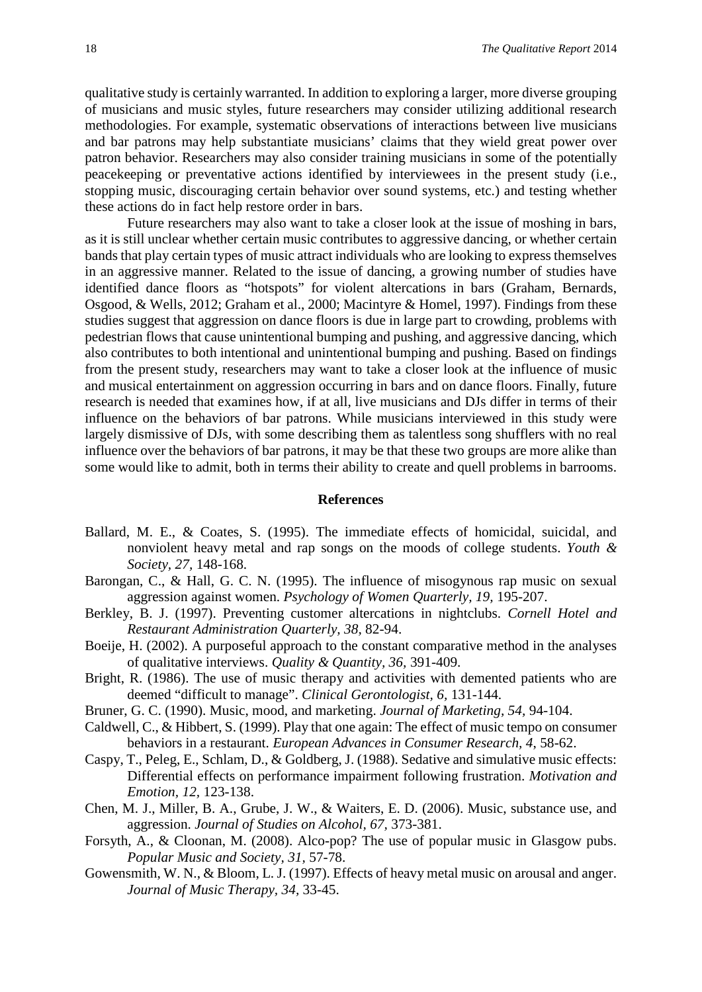qualitative study is certainly warranted. In addition to exploring a larger, more diverse grouping of musicians and music styles, future researchers may consider utilizing additional research methodologies. For example, systematic observations of interactions between live musicians and bar patrons may help substantiate musicians' claims that they wield great power over patron behavior. Researchers may also consider training musicians in some of the potentially peacekeeping or preventative actions identified by interviewees in the present study (i.e., stopping music, discouraging certain behavior over sound systems, etc.) and testing whether these actions do in fact help restore order in bars.

Future researchers may also want to take a closer look at the issue of moshing in bars, as it is still unclear whether certain music contributes to aggressive dancing, or whether certain bands that play certain types of music attract individuals who are looking to express themselves in an aggressive manner. Related to the issue of dancing, a growing number of studies have identified dance floors as "hotspots" for violent altercations in bars (Graham, Bernards, Osgood, & Wells, 2012; Graham et al., 2000; Macintyre & Homel, 1997). Findings from these studies suggest that aggression on dance floors is due in large part to crowding, problems with pedestrian flows that cause unintentional bumping and pushing, and aggressive dancing, which also contributes to both intentional and unintentional bumping and pushing. Based on findings from the present study, researchers may want to take a closer look at the influence of music and musical entertainment on aggression occurring in bars and on dance floors. Finally, future research is needed that examines how, if at all, live musicians and DJs differ in terms of their influence on the behaviors of bar patrons. While musicians interviewed in this study were largely dismissive of DJs, with some describing them as talentless song shufflers with no real influence over the behaviors of bar patrons, it may be that these two groups are more alike than some would like to admit, both in terms their ability to create and quell problems in barrooms.

#### **References**

- Ballard, M. E., & Coates, S. (1995). The immediate effects of homicidal, suicidal, and nonviolent heavy metal and rap songs on the moods of college students. *Youth & Society, 27,* 148-168.
- Barongan, C., & Hall, G. C. N. (1995). The influence of misogynous rap music on sexual aggression against women. *Psychology of Women Quarterly, 19,* 195-207.
- Berkley, B. J. (1997). Preventing customer altercations in nightclubs. *Cornell Hotel and Restaurant Administration Quarterly, 38,* 82-94.
- Boeije, H. (2002). A purposeful approach to the constant comparative method in the analyses of qualitative interviews. *Quality & Quantity, 36,* 391-409.
- Bright, R. (1986). The use of music therapy and activities with demented patients who are deemed "difficult to manage". *Clinical Gerontologist, 6,* 131-144.
- Bruner, G. C. (1990). Music, mood, and marketing. *Journal of Marketing, 54,* 94-104.
- Caldwell, C., & Hibbert, S. (1999). Play that one again: The effect of music tempo on consumer behaviors in a restaurant. *European Advances in Consumer Research, 4*, 58-62.
- Caspy, T., Peleg, E., Schlam, D., & Goldberg, J. (1988). Sedative and simulative music effects: Differential effects on performance impairment following frustration. *Motivation and Emotion, 12,* 123-138.
- Chen, M. J., Miller, B. A., Grube, J. W., & Waiters, E. D. (2006). Music, substance use, and aggression. *Journal of Studies on Alcohol, 67,* 373-381.
- Forsyth, A., & Cloonan, M. (2008). Alco-pop? The use of popular music in Glasgow pubs. *Popular Music and Society, 31,* 57-78.
- Gowensmith, W. N., & Bloom, L. J. (1997). Effects of heavy metal music on arousal and anger. *Journal of Music Therapy, 34,* 33-45.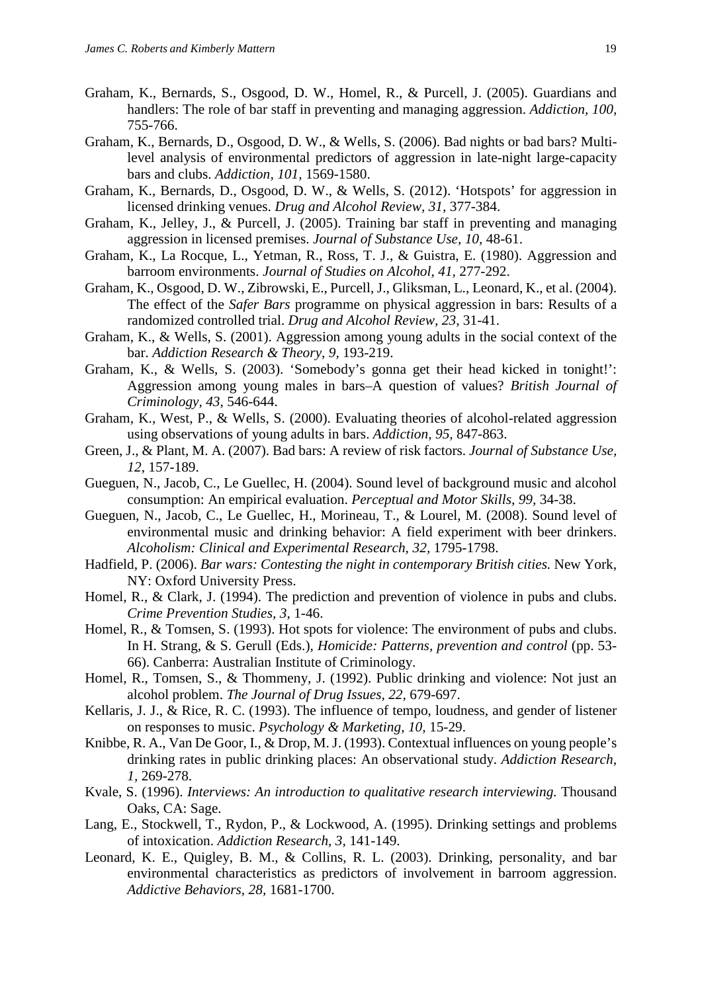- Graham, K., Bernards, S., Osgood, D. W., Homel, R., & Purcell, J. (2005). Guardians and handlers: The role of bar staff in preventing and managing aggression. *Addiction, 100,* 755-766.
- Graham, K., Bernards, D., Osgood, D. W., & Wells, S. (2006). Bad nights or bad bars? Multilevel analysis of environmental predictors of aggression in late-night large-capacity bars and clubs. *Addiction, 101,* 1569-1580.
- Graham, K., Bernards, D., Osgood, D. W., & Wells, S. (2012). 'Hotspots' for aggression in licensed drinking venues. *Drug and Alcohol Review, 31,* 377-384.
- Graham, K., Jelley, J., & Purcell, J. (2005). Training bar staff in preventing and managing aggression in licensed premises. *Journal of Substance Use, 10,* 48-61.
- Graham, K., La Rocque, L., Yetman, R., Ross, T. J., & Guistra, E. (1980). Aggression and barroom environments. *Journal of Studies on Alcohol, 41,* 277-292.
- Graham, K., Osgood, D. W., Zibrowski, E., Purcell, J., Gliksman, L., Leonard, K., et al. (2004). The effect of the *Safer Bars* programme on physical aggression in bars: Results of a randomized controlled trial. *Drug and Alcohol Review, 23,* 31-41.
- Graham, K., & Wells, S. (2001). Aggression among young adults in the social context of the bar. *Addiction Research & Theory, 9,* 193-219.
- Graham, K., & Wells, S. (2003). 'Somebody's gonna get their head kicked in tonight!': Aggression among young males in bars–A question of values? *British Journal of Criminology, 43,* 546-644.
- Graham, K., West, P., & Wells, S. (2000). Evaluating theories of alcohol-related aggression using observations of young adults in bars. *Addiction, 95,* 847-863.
- Green, J., & Plant, M. A. (2007). Bad bars: A review of risk factors. *Journal of Substance Use, 12,* 157-189.
- Gueguen, N., Jacob, C., Le Guellec, H. (2004). Sound level of background music and alcohol consumption: An empirical evaluation. *Perceptual and Motor Skills, 99,* 34-38.
- Gueguen, N., Jacob, C., Le Guellec, H., Morineau, T., & Lourel, M. (2008). Sound level of environmental music and drinking behavior: A field experiment with beer drinkers. *Alcoholism: Clinical and Experimental Research, 32,* 1795-1798.
- Hadfield, P. (2006). *Bar wars: Contesting the night in contemporary British cities.* New York, NY: Oxford University Press.
- Homel, R., & Clark, J. (1994). The prediction and prevention of violence in pubs and clubs. *Crime Prevention Studies, 3,* 1-46.
- Homel, R., & Tomsen, S. (1993). Hot spots for violence: The environment of pubs and clubs. In H. Strang, & S. Gerull (Eds.), *Homicide: Patterns, prevention and control* (pp. 53- 66). Canberra: Australian Institute of Criminology.
- Homel, R., Tomsen, S., & Thommeny, J. (1992). Public drinking and violence: Not just an alcohol problem. *The Journal of Drug Issues, 22,* 679-697.
- Kellaris, J. J., & Rice, R. C. (1993). The influence of tempo, loudness, and gender of listener on responses to music. *Psychology & Marketing, 10,* 15-29.
- Knibbe, R. A., Van De Goor, I., & Drop, M. J. (1993). Contextual influences on young people's drinking rates in public drinking places: An observational study. *Addiction Research, 1,* 269-278.
- Kvale, S. (1996). *Interviews: An introduction to qualitative research interviewing.* Thousand Oaks, CA: Sage.
- Lang, E., Stockwell, T., Rydon, P., & Lockwood, A. (1995). Drinking settings and problems of intoxication. *Addiction Research, 3,* 141-149.
- Leonard, K. E., Quigley, B. M., & Collins, R. L. (2003). Drinking, personality, and bar environmental characteristics as predictors of involvement in barroom aggression. *Addictive Behaviors, 28,* 1681-1700.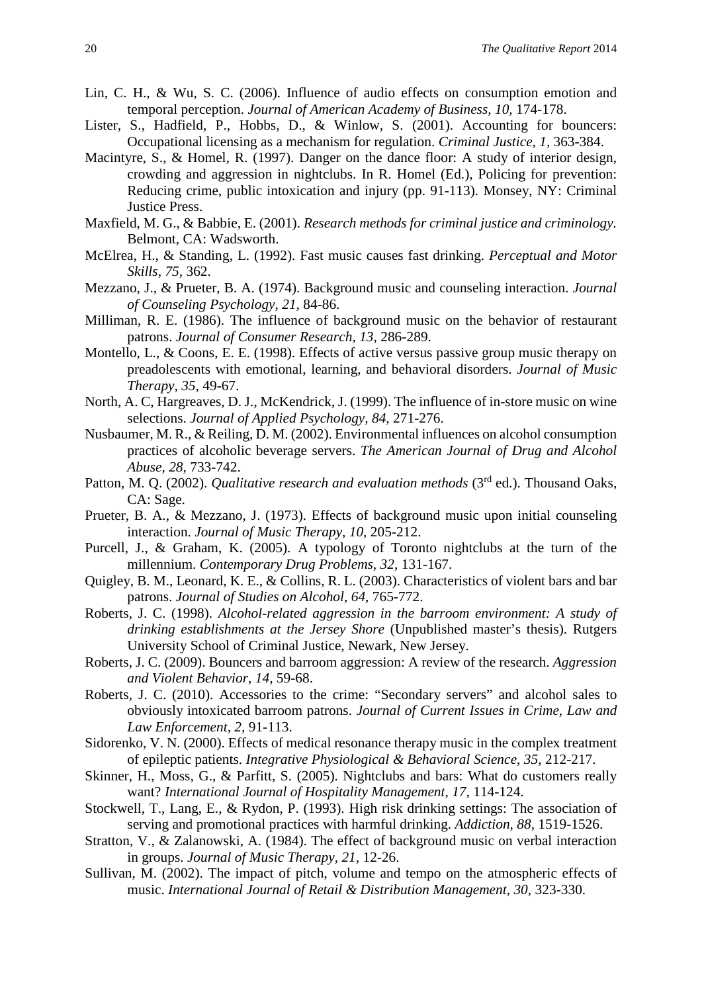- Lin, C. H., & Wu, S. C. (2006). Influence of audio effects on consumption emotion and temporal perception. *Journal of American Academy of Business, 10,* 174-178.
- Lister, S., Hadfield, P., Hobbs, D., & Winlow, S. (2001). Accounting for bouncers: Occupational licensing as a mechanism for regulation. *Criminal Justice, 1,* 363-384.
- Macintyre, S., & Homel, R. (1997). Danger on the dance floor: A study of interior design, crowding and aggression in nightclubs. In R. Homel (Ed.), Policing for prevention: Reducing crime, public intoxication and injury (pp. 91-113). Monsey, NY: Criminal Justice Press.
- Maxfield, M. G., & Babbie, E. (2001). *Research methods for criminal justice and criminology.* Belmont, CA: Wadsworth.
- McElrea, H., & Standing, L. (1992). Fast music causes fast drinking. *Perceptual and Motor Skills, 75,* 362.
- Mezzano, J., & Prueter, B. A. (1974). Background music and counseling interaction. *Journal of Counseling Psychology, 21,* 84-86.
- Milliman, R. E. (1986). The influence of background music on the behavior of restaurant patrons. *Journal of Consumer Research, 13,* 286-289.
- Montello, L., & Coons, E. E. (1998). Effects of active versus passive group music therapy on preadolescents with emotional, learning, and behavioral disorders. *Journal of Music Therapy, 35,* 49-67.
- North, A. C, Hargreaves, D. J., McKendrick, J. (1999). The influence of in-store music on wine selections. *Journal of Applied Psychology, 84,* 271-276.
- Nusbaumer, M. R., & Reiling, D. M. (2002). Environmental influences on alcohol consumption practices of alcoholic beverage servers. *The American Journal of Drug and Alcohol Abuse, 28,* 733-742.
- Patton, M. Q. (2002). *Qualitative research and evaluation methods* (3<sup>rd</sup> ed.). Thousand Oaks, CA: Sage.
- Prueter, B. A., & Mezzano, J. (1973). Effects of background music upon initial counseling interaction. *Journal of Music Therapy, 10,* 205-212.
- Purcell, J., & Graham, K. (2005). A typology of Toronto nightclubs at the turn of the millennium. *Contemporary Drug Problems, 32,* 131-167.
- Quigley, B. M., Leonard, K. E., & Collins, R. L. (2003). Characteristics of violent bars and bar patrons. *Journal of Studies on Alcohol, 64,* 765-772.
- Roberts, J. C. (1998). *Alcohol-related aggression in the barroom environment: A study of drinking establishments at the Jersey Shore* (Unpublished master's thesis). Rutgers University School of Criminal Justice, Newark, New Jersey.
- Roberts, J. C. (2009). Bouncers and barroom aggression: A review of the research. *Aggression and Violent Behavior, 14,* 59-68.
- Roberts, J. C. (2010). Accessories to the crime: "Secondary servers" and alcohol sales to obviously intoxicated barroom patrons. *Journal of Current Issues in Crime, Law and Law Enforcement, 2,* 91-113.
- Sidorenko, V. N. (2000). Effects of medical resonance therapy music in the complex treatment of epileptic patients. *Integrative Physiological & Behavioral Science, 35,* 212-217.
- Skinner, H., Moss, G., & Parfitt, S. (2005). Nightclubs and bars: What do customers really want? *International Journal of Hospitality Management, 17,* 114-124.
- Stockwell, T., Lang, E., & Rydon, P. (1993). High risk drinking settings: The association of serving and promotional practices with harmful drinking. *Addiction, 88,* 1519-1526.
- Stratton, V., & Zalanowski, A. (1984). The effect of background music on verbal interaction in groups. *Journal of Music Therapy, 21,* 12-26.
- Sullivan, M. (2002). The impact of pitch, volume and tempo on the atmospheric effects of music. *International Journal of Retail & Distribution Management, 30, 323-330.*